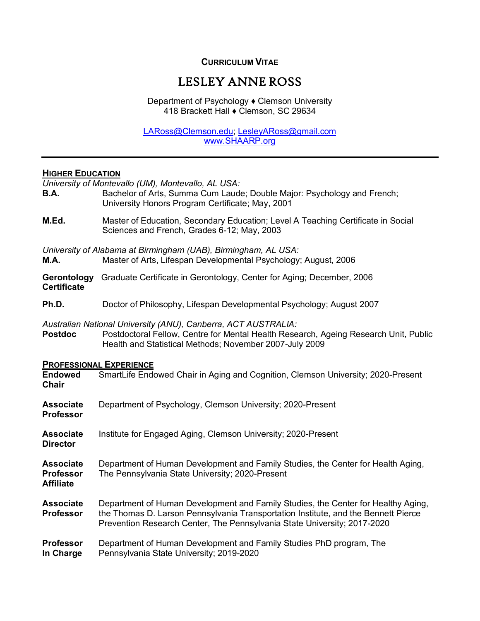# **CURRICULUM VITAE**

# LESLEY ANNE ROSS

Department of Psychology ♦ Clemson University 418 Brackett Hall ♦ Clemson, SC 29634

[LARoss@Clemson.edu;](mailto:LARoss@Clemson.edu) [LesleyARoss@gmail.com](mailto:LesleyARoss@gmail.com) [www.SHAARP.org](http://www.shaarp.org/)

#### **HIGHER EDUCATION**

*University of Montevallo (UM), Montevallo, AL USA:*

- **B.A.** Bachelor of Arts, Summa Cum Laude; Double Major: Psychology and French; University Honors Program Certificate; May, 2001
- **M.Ed.** Master of Education, Secondary Education; Level A Teaching Certificate in Social Sciences and French, Grades 6-12; May, 2003

*University of Alabama at Birmingham (UAB), Birmingham, AL USA:* **M.A.** Master of Arts, Lifespan Developmental Psychology; August, 2006

- **Gerontology** Graduate Certificate in Gerontology, Center for Aging; December, 2006 **Certificate**
- **Ph.D.** Doctor of Philosophy, Lifespan Developmental Psychology; August 2007

*Australian National University (ANU), Canberra, ACT AUSTRALIA:*

Postdoctoral Fellow, Centre for Mental Health Research, Ageing Research Unit, Public Health and Statistical Methods; November 2007-July 2009

#### **PROFESSIONAL EXPERIENCE**

| <b>Endowed</b><br><b>Chair</b>                           | SmartLife Endowed Chair in Aging and Cognition, Clemson University; 2020-Present                                                                                                                                                                    |
|----------------------------------------------------------|-----------------------------------------------------------------------------------------------------------------------------------------------------------------------------------------------------------------------------------------------------|
| <b>Associate</b><br><b>Professor</b>                     | Department of Psychology, Clemson University; 2020-Present                                                                                                                                                                                          |
| <b>Associate</b><br><b>Director</b>                      | Institute for Engaged Aging, Clemson University; 2020-Present                                                                                                                                                                                       |
| <b>Associate</b><br><b>Professor</b><br><b>Affiliate</b> | Department of Human Development and Family Studies, the Center for Health Aging,<br>The Pennsylvania State University; 2020-Present                                                                                                                 |
| <b>Associate</b><br><b>Professor</b>                     | Department of Human Development and Family Studies, the Center for Healthy Aging,<br>the Thomas D. Larson Pennsylvania Transportation Institute, and the Bennett Pierce<br>Prevention Research Center, The Pennsylvania State University; 2017-2020 |
| <b>Professor</b><br>In Charge                            | Department of Human Development and Family Studies PhD program, The<br>Pennsylvania State University; 2019-2020                                                                                                                                     |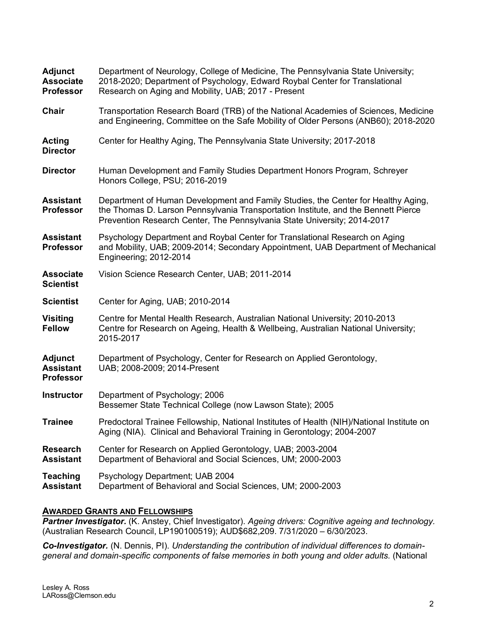| Adjunct<br><b>Associate</b><br><b>Professor</b>        | Department of Neurology, College of Medicine, The Pennsylvania State University;<br>2018-2020; Department of Psychology, Edward Roybal Center for Translational<br>Research on Aging and Mobility, UAB; 2017 - Present                              |
|--------------------------------------------------------|-----------------------------------------------------------------------------------------------------------------------------------------------------------------------------------------------------------------------------------------------------|
| Chair                                                  | Transportation Research Board (TRB) of the National Academies of Sciences, Medicine<br>and Engineering, Committee on the Safe Mobility of Older Persons (ANB60); 2018-2020                                                                          |
| Acting<br><b>Director</b>                              | Center for Healthy Aging, The Pennsylvania State University; 2017-2018                                                                                                                                                                              |
| <b>Director</b>                                        | Human Development and Family Studies Department Honors Program, Schreyer<br>Honors College, PSU; 2016-2019                                                                                                                                          |
| <b>Assistant</b><br><b>Professor</b>                   | Department of Human Development and Family Studies, the Center for Healthy Aging,<br>the Thomas D. Larson Pennsylvania Transportation Institute, and the Bennett Pierce<br>Prevention Research Center, The Pennsylvania State University; 2014-2017 |
| <b>Assistant</b><br><b>Professor</b>                   | Psychology Department and Roybal Center for Translational Research on Aging<br>and Mobility, UAB; 2009-2014; Secondary Appointment, UAB Department of Mechanical<br>Engineering; 2012-2014                                                          |
| <b>Associate</b><br><b>Scientist</b>                   | Vision Science Research Center, UAB; 2011-2014                                                                                                                                                                                                      |
| <b>Scientist</b>                                       | Center for Aging, UAB; 2010-2014                                                                                                                                                                                                                    |
| <b>Visiting</b><br><b>Fellow</b>                       | Centre for Mental Health Research, Australian National University; 2010-2013<br>Centre for Research on Ageing, Health & Wellbeing, Australian National University;<br>2015-2017                                                                     |
| <b>Adjunct</b><br><b>Assistant</b><br><b>Professor</b> | Department of Psychology, Center for Research on Applied Gerontology,<br>UAB; 2008-2009; 2014-Present                                                                                                                                               |
| <b>Instructor</b>                                      | Department of Psychology; 2006<br>Bessemer State Technical College (now Lawson State); 2005                                                                                                                                                         |
| <b>Trainee</b>                                         | Predoctoral Trainee Fellowship, National Institutes of Health (NIH)/National Institute on<br>Aging (NIA). Clinical and Behavioral Training in Gerontology; 2004-2007                                                                                |
| <b>Research</b><br><b>Assistant</b>                    | Center for Research on Applied Gerontology, UAB; 2003-2004<br>Department of Behavioral and Social Sciences, UM; 2000-2003                                                                                                                           |
| <b>Teaching</b><br><b>Assistant</b>                    | Psychology Department; UAB 2004<br>Department of Behavioral and Social Sciences, UM; 2000-2003                                                                                                                                                      |

# **AWARDED GRANTS AND FELLOWSHIPS**

**Partner Investigator.** (K. Anstey, Chief Investigator). Ageing drivers: Cognitive ageing and technology. (Australian Research Council, LP190100519); AUD\$682,209. 7/31/2020 – 6/30/2023.

*Co-Investigator.* (N. Dennis, PI). *Understanding the contribution of individual differences to domaingeneral and domain-specific components of false memories in both young and older adults.* (National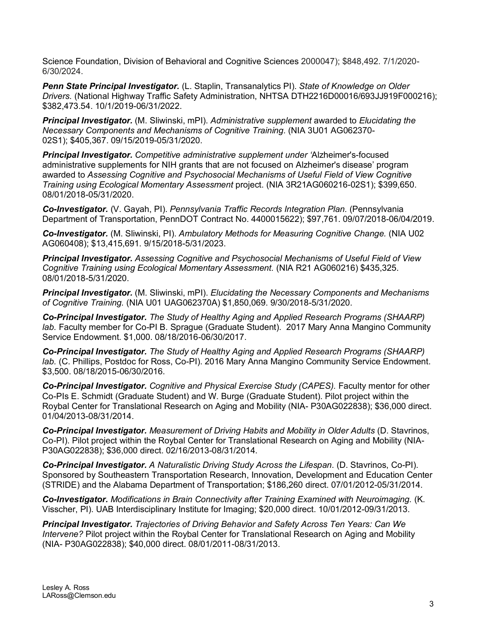Science Foundation, Division of Behavioral and Cognitive Sciences 2000047); \$848,492. 7/1/2020- 6/30/2024.

*Penn State Principal Investigator.* (L. Staplin, Transanalytics PI). *State of Knowledge on Older Drivers.* (National Highway Traffic Safety Administration, NHTSA DTH2216D00016/693JJ919F000216); \$382,473.54. 10/1/2019-06/31/2022.

*Principal Investigator.* (M. Sliwinski, mPI). *Administrative supplement* awarded to *Elucidating the Necessary Components and Mechanisms of Cognitive Training.* (NIA 3U01 AG062370- 02S1); \$405,367. 09/15/2019-05/31/2020.

*Principal Investigator. Competitive administrative supplement under '*Alzheimer's-focused administrative supplements for NIH grants that are not focused on Alzheimer's disease' program awarded to *Assessing Cognitive and Psychosocial Mechanisms of Useful Field of View Cognitive Training using Ecological Momentary Assessment* project. (NIA 3R21AG060216-02S1); \$399,650. 08/01/2018-05/31/2020.

*Co-Investigator.* (V. Gayah, PI). *Pennsylvania Traffic Records Integration Plan.* (Pennsylvania Department of Transportation, PennDOT Contract No. 4400015622); \$97,761. 09/07/2018-06/04/2019.

*Co-Investigator.* (M. Sliwinski, PI). *Ambulatory Methods for Measuring Cognitive Change.* (NIA U02 AG060408); \$13,415,691. 9/15/2018-5/31/2023.

*Principal Investigator. Assessing Cognitive and Psychosocial Mechanisms of Useful Field of View Cognitive Training using Ecological Momentary Assessment.* (NIA R21 AG060216) \$435,325. 08/01/2018-5/31/2020.

*Principal Investigator.* (M. Sliwinski, mPI). *Elucidating the Necessary Components and Mechanisms of Cognitive Training.* (NIA U01 UAG062370A) \$1,850,069. 9/30/2018-5/31/2020.

*Co-Principal Investigator. The Study of Healthy Aging and Applied Research Programs (SHAARP) lab.* Faculty member for Co-PI B. Sprague (Graduate Student). 2017 Mary Anna Mangino Community Service Endowment. \$1,000. 08/18/2016-06/30/2017.

*Co-Principal Investigator. The Study of Healthy Aging and Applied Research Programs (SHAARP) lab.* (C. Phillips, Postdoc for Ross, Co-PI). 2016 Mary Anna Mangino Community Service Endowment. \$3,500. 08/18/2015-06/30/2016.

*Co-Principal Investigator. Cognitive and Physical Exercise Study (CAPES).* Faculty mentor for other Co-PIs E. Schmidt (Graduate Student) and W. Burge (Graduate Student). Pilot project within the Roybal Center for Translational Research on Aging and Mobility (NIA- P30AG022838); \$36,000 direct. 01/04/2013-08/31/2014.

*Co-Principal Investigator. Measurement of Driving Habits and Mobility in Older Adults* (D. Stavrinos, Co-PI). Pilot project within the Roybal Center for Translational Research on Aging and Mobility (NIA-P30AG022838); \$36,000 direct. 02/16/2013-08/31/2014.

*Co-Principal Investigator. A Naturalistic Driving Study Across the Lifespan*. (D. Stavrinos, Co-PI). Sponsored by Southeastern Transportation Research, Innovation, Development and Education Center (STRIDE) and the Alabama Department of Transportation; \$186,260 direct. 07/01/2012-05/31/2014.

*Co-Investigator. Modifications in Brain Connectivity after Training Examined with Neuroimaging.* (K. Visscher, PI). UAB Interdisciplinary Institute for Imaging; \$20,000 direct. 10/01/2012-09/31/2013.

*Principal Investigator. Trajectories of Driving Behavior and Safety Across Ten Years: Can We Intervene?* Pilot project within the Roybal Center for Translational Research on Aging and Mobility (NIA- P30AG022838); \$40,000 direct. 08/01/2011-08/31/2013.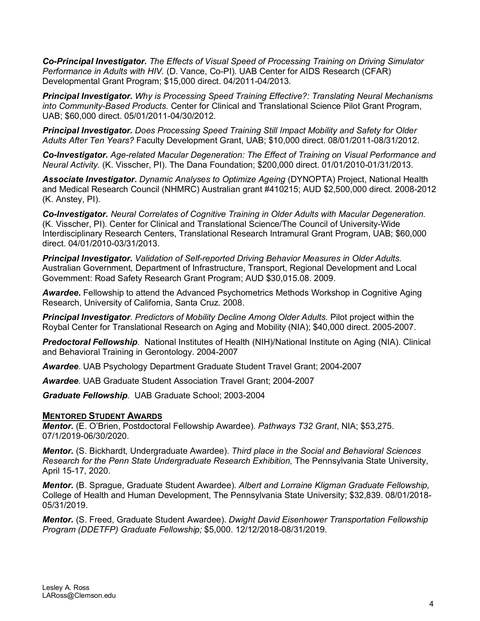*Co-Principal Investigator. The Effects of Visual Speed of Processing Training on Driving Simulator Performance in Adults with HIV.* (D. Vance, Co-PI). UAB Center for AIDS Research (CFAR) Developmental Grant Program; \$15,000 direct. 04/2011-04/2013.

*Principal Investigator. Why is Processing Speed Training Effective?: Translating Neural Mechanisms into Community-Based Products.* Center for Clinical and Translational Science Pilot Grant Program, UAB; \$60,000 direct. 05/01/2011-04/30/2012.

*Principal Investigator. Does Processing Speed Training Still Impact Mobility and Safety for Older Adults After Ten Years?* Faculty Development Grant, UAB; \$10,000 direct. 08/01/2011-08/31/2012.

*Co-Investigator. Age-related Macular Degeneration: The Effect of Training on Visual Performance and Neural Activity.* (K. Visscher, PI). The Dana Foundation; \$200,000 direct. 01/01/2010-01/31/2013.

*Associate Investigator***.** *Dynamic Analyses to Optimize Ageing* (DYNOPTA) Project, National Health and Medical Research Council (NHMRC) Australian grant #410215; AUD \$2,500,000 direct. 2008-2012 (K. Anstey, PI).

*Co-Investigator. Neural Correlates of Cognitive Training in Older Adults with Macular Degeneration.* (K. Visscher, PI). Center for Clinical and Translational Science/The Council of University-Wide Interdisciplinary Research Centers, Translational Research Intramural Grant Program, UAB; \$60,000 direct. 04/01/2010-03/31/2013.

*Principal Investigator. Validation of Self-reported Driving Behavior Measures in Older Adults.* Australian Government, Department of Infrastructure, Transport, Regional Development and Local Government: Road Safety Research Grant Program; AUD \$30,015.08. 2009.

*Awardee***.** Fellowship to attend the Advanced Psychometrics Methods Workshop in Cognitive Aging Research, University of California, Santa Cruz. 2008.

*Principal Investigator*. *Predictors of Mobility Decline Among Older Adults.* Pilot project within the Roybal Center for Translational Research on Aging and Mobility (NIA); \$40,000 direct. 2005-2007.

*Predoctoral Fellowship*. National Institutes of Health (NIH)/National Institute on Aging (NIA). Clinical and Behavioral Training in Gerontology. 2004-2007

*Awardee*. UAB Psychology Department Graduate Student Travel Grant; 2004-2007

*Awardee.* UAB Graduate Student Association Travel Grant; 2004-2007

*Graduate Fellowship*.UAB Graduate School; 2003-2004

### **MENTORED STUDENT AWARDS**

*Mentor.* (E. O'Brien, Postdoctoral Fellowship Awardee). *Pathways T32 Grant*, NIA; \$53,275. 07/1/2019-06/30/2020.

*Mentor.* (S. Bickhardt, Undergraduate Awardee). *Third place in the Social and Behavioral Sciences Research for the Penn State Undergraduate Research Exhibition,* The Pennsylvania State University, April 15-17, 2020.

*Mentor.* (B. Sprague, Graduate Student Awardee). *Albert and Lorraine Kligman Graduate Fellowship,* College of Health and Human Development, The Pennsylvania State University; \$32,839. 08/01/2018- 05/31/2019.

*Mentor.* (S. Freed, Graduate Student Awardee). *Dwight David Eisenhower Transportation Fellowship Program (DDETFP) Graduate Fellowship;* \$5,000. 12/12/2018-08/31/2019.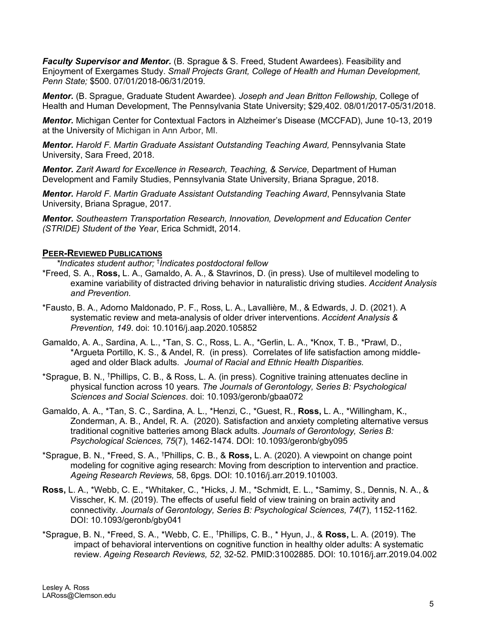*Faculty Supervisor and Mentor.* (B. Sprague & S. Freed, Student Awardees). Feasibility and Enjoyment of Exergames Study. *Small Projects Grant, College of Health and Human Development, Penn State;* \$500. 07/01/2018-06/31/2019.

*Mentor.* (B. Sprague, Graduate Student Awardee). *Joseph and Jean Britton Fellowship,* College of Health and Human Development, The Pennsylvania State University; \$29,402. 08/01/2017-05/31/2018.

*Mentor.* Michigan Center for Contextual Factors in Alzheimer's Disease (MCCFAD), June 10-13, 2019 at the University of Michigan in Ann Arbor, MI.

*Mentor. Harold F. Martin Graduate Assistant Outstanding Teaching Award,* Pennsylvania State University, Sara Freed, 2018.

*Mentor. Zarit Award for Excellence in Research, Teaching, & Service,* Department of Human Development and Family Studies, Pennsylvania State University, Briana Sprague, 2018.

*Mentor. Harold F. Martin Graduate Assistant Outstanding Teaching Award*, Pennsylvania State University, Briana Sprague, 2017.

*Mentor. Southeastern Transportation Research, Innovation, Development and Education Center (STRIDE) Student of the Year*, Erica Schmidt, 2014.

### **PEER-REVIEWED PUBLICATIONS**

*\*Indicates student author;* † *Indicates postdoctoral fellow*

- \*Freed, S. A., **Ross,** L. A., Gamaldo, A. A., & Stavrinos, D. (in press). Use of multilevel modeling to examine variability of distracted driving behavior in naturalistic driving studies. *Accident Analysis and Prevention.*
- \*Fausto, B. A., Adorno Maldonado, P. F., Ross, L. A., Lavallière, M., & Edwards, J. D. (2021). A systematic review and meta-analysis of older driver interventions. *Accident Analysis & Prevention, 149*. doi: 10.1016/j.aap.2020.105852
- Gamaldo, A. A., Sardina, A. L., \*Tan, S. C., Ross, L. A., \*Gerlin, L. A., \*Knox, T. B., \*Prawl, D., \*Argueta Portillo, K. S., & Andel, R. (in press). Correlates of life satisfaction among middleaged and older Black adults. *Journal of Racial and Ethnic Health Disparities.*
- \*Sprague, B. N., † Phillips, C. B., & Ross, L. A. (in press). Cognitive training attenuates decline in physical function across 10 years*. The Journals of Gerontology, Series B: Psychological Sciences and Social Sciences*. doi: 10.1093/geronb/gbaa072
- Gamaldo, A. A., \*Tan, S. C., Sardina, A. L., \*Henzi, C., \*Guest, R., **Ross,** L. A., \*Willingham, K., Zonderman, A. B., Andel, R. A. (2020). Satisfaction and anxiety completing alternative versus traditional cognitive batteries among Black adults. *Journals of Gerontology, Series B: Psychological Sciences, 75*(7), 1462-1474*.* DOI: 10.1093/geronb/gby095
- \*Sprague, B. N., \*Freed, S. A., † Phillips, C. B., & **Ross,** L. A. (2020). A viewpoint on change point modeling for cognitive aging research: Moving from description to intervention and practice. *Ageing Research Reviews,* 58, 6pgs. DOI: 10.1016/j.arr.2019.101003*.*
- **Ross,** L. A., \*Webb, C. E., \*Whitaker, C., \*Hicks, J. M., \*Schmidt, E. L., \*Samimy, S., Dennis, N. A., & Visscher, K. M. (2019). The effects of useful field of view training on brain activity and connectivity. *Journals of Gerontology, Series B: Psychological Sciences, 74*(7), 1152-1162*.* DOI: 10.1093/geronb/gby041
- \*Sprague, B. N., \*Freed, S. A., \*Webb, C. E., † Phillips, C. B., \* Hyun, J., & **Ross,** L. A. (2019). The impact of behavioral interventions on cognitive function in healthy older adults: A systematic review. *Ageing Research Reviews, 52,* 32-52. PMID:31002885. DOI: [10.1016/j.arr.2019.04.002](https://doi.org/10.1016/j.arr.2019.04.002)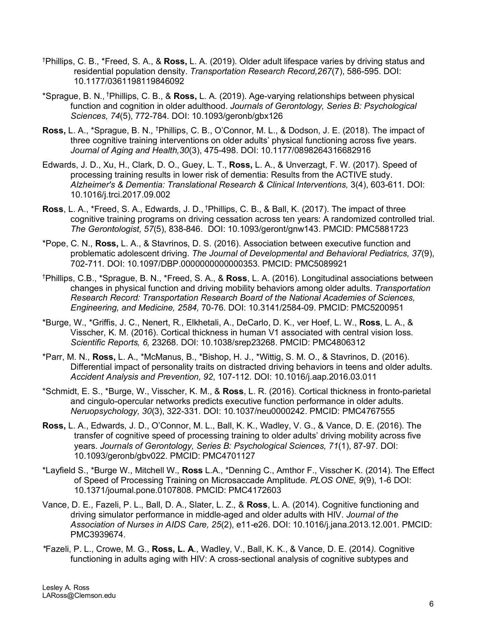- † Phillips, C. B., \*Freed, S. A., & **Ross,** L. A. (2019). Older adult lifespace varies by driving status and residential population density. *Transportation Research Record,267*(7), 586-595. DOI: 10.1177/0361198119846092
- \*Sprague, B. N., † Phillips, C. B., & **Ross,** L. A. (2019). Age-varying relationships between physical function and cognition in older adulthood. *Journals of Gerontology, Series B: Psychological Sciences, 74*(5), 772-784*.* DOI: 10.1093/geronb/gbx126
- Ross, L. A., \*Sprague, B. N., <sup>†</sup>Phillips, C. B., O'Connor, M. L., & Dodson, J. E. (2018). The impact of three cognitive training interventions on older adults' physical functioning across five years. *Journal of Aging and Health,30*(3), 475-498. DOI: 10.1177/0898264316682916
- Edwards, J. D., Xu, H., Clark, D. O., Guey, L. T., **Ross,** L. A., & Unverzagt, F. W. (2017). Speed of processing training results in lower risk of dementia: Results from the ACTIVE study. *Alzheimer's & Dementia: Translational Research & Clinical Interventions,* 3(4), 603-611. DOI: 10.1016/j.trci.2017.09.002
- **Ross**, L. A., \*Freed, S. A., Edwards, J. D., † Phillips, C. B., & Ball, K. (2017). The impact of three cognitive training programs on driving cessation across ten years: A randomized controlled trial. *The Gerontologist, 57*(5), 838-846. DOI: 10.1093/geront/gnw143. PMCID: PMC5881723
- \*Pope, C. N., **Ross,** L. A., & Stavrinos, D. S. (2016). Association between executive function and problematic adolescent driving. *The Journal of Developmental and Behavioral Pediatrics, 37*(9), 702-711*.* DOI: 10.1097/DBP.0000000000000353. PMCID: PMC5089921
- † Phillips, C.B., \*Sprague, B. N., \*Freed, S. A., & **Ross**, L. A. (2016). Longitudinal associations between changes in physical function and driving mobility behaviors among older adults. *Transportation Research Record: Transportation Research Board of the National Academies of Sciences, Engineering, and Medicine, 2584,* 70-76. DOI: 10.3141/2584-09. PMCID: PMC5200951
- \*Burge, W., \*Griffis, J. C., Nenert, R., Elkhetali, A., DeCarlo, D. K., ver Hoef, L. W., **Ross**, L. A., & Visscher, K. M. (2016). Cortical thickness in human V1 associated with central vision loss. *Scientific Reports, 6,* 23268. DOI: 10.1038/srep23268. PMCID: PMC4806312
- \*Parr, M. N., **Ross,** L. A., \*McManus, B., \*Bishop, H. J., \*Wittig, S. M. O., & Stavrinos, D. (2016). Differential impact of personality traits on distracted driving behaviors in teens and older adults. *Accident Analysis and Prevention, 92*, 107-112*.* DOI: 10.1016/j.aap.2016.03.011
- \*Schmidt, E. S., \*Burge, W., Visscher, K. M., & **Ross**, L. R. (2016). Cortical thickness in fronto-parietal and cingulo-opercular networks predicts executive function performance in older adults. *Neruopsychology, 30*(3), 322-331*.* DOI: 10.1037/neu0000242. PMCID: PMC4767555
- **Ross,** L. A., Edwards, J. D., O'Connor, M. L., Ball, K. K., Wadley, V. G., & Vance, D. E. (2016). The transfer of cognitive speed of processing training to older adults' driving mobility across five years. *Journals of Gerontology, Series B: Psychological Sciences, 71*(1), 87-97. DOI: 10.1093/geronb/gbv022. PMCID: PMC4701127
- \*Layfield S., \*Burge W., Mitchell W., **Ross** L.A., \*Denning C., Amthor F., Visscher K. (2014). The Effect of Speed of Processing Training on Microsaccade Amplitude. *PLOS ONE, 9*(9), 1-6 DOI: 10.1371/journal.pone.0107808. PMCID: PMC4172603
- Vance, D. E., Fazeli, P. L., Ball, D. A., Slater, L. Z., & **Ross**, L. A. (2014). Cognitive functioning and driving simulator performance in middle-aged and older adults with HIV. *Journal of the Association of Nurses in AIDS Care, 25*(2), e11-e26. DOI: 10.1016/j.jana.2013.12.001. PMCID: PMC3939674.
- *\**Fazeli, P. L., Crowe, M. G., **Ross, L. A**., Wadley, V., Ball, K. K., & Vance, D. E. (2014*).* Cognitive functioning in adults aging with HIV: A cross-sectional analysis of cognitive subtypes and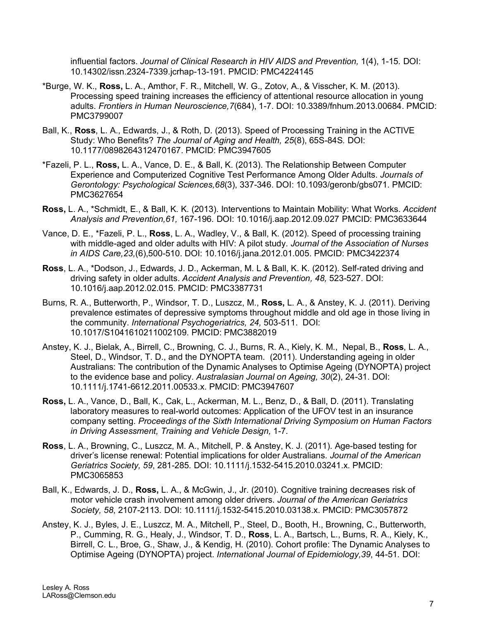influential factors. *Journal of Clinical Research in HIV AIDS and Prevention,* 1(4), 1-15*.* DOI: 10.14302/issn.2324-7339.jcrhap-13-191. PMCID: PMC4224145

- \*Burge, W. K., **Ross,** L. A., Amthor, F. R., Mitchell, W. G., Zotov, A., & Visscher, K. M. (2013). Processing speed training increases the efficiency of attentional resource allocation in young adults. *Frontiers in Human Neuroscience,7*(684), 1-7. DOI: 10.3389/fnhum.2013.00684. PMCID: PMC3799007
- Ball, K., **Ross**, L. A., Edwards, J., & Roth, D. (2013). Speed of Processing Training in the ACTIVE Study: Who Benefits? *The Journal of Aging and Health, 25*(8), 65S-84S*.* DOI: 10.1177/0898264312470167. PMCID: PMC3947605
- \*Fazeli, P. L., **Ross,** L. A., Vance, D. E., & Ball, K. (2013). The Relationship Between Computer Experience and Computerized Cognitive Test Performance Among Older Adults. *Journals of Gerontology: Psychological Sciences,68*(3), 337-346. DOI: 10.1093/geronb/gbs071. PMCID: PMC3627654
- **Ross,** L. A., \*Schmidt, E., & Ball, K. K. (2013). Interventions to Maintain Mobility: What Works. *Accident Analysis and Prevention,61,* 167-196*.* DOI: 10.1016/j.aap.2012.09.027 PMCID: [PMC3633644](http://www.ncbi.nlm.nih.gov/pmc/articles/PMC3633644/?tool=nihms)
- Vance, D. E., \*Fazeli, P. L., **Ross**, L. A., Wadley, V., & Ball, K. (2012). Speed of processing training with middle-aged and older adults with HIV: A pilot study. *Journal of the Association of Nurses in AIDS Care,23,*(6),500-510. DOI: 10.1016/j.jana.2012.01.005. PMCID: PMC3422374
- **Ross**, L. A., \*Dodson, J., Edwards, J. D., Ackerman, M. L & Ball, K. K. (2012). Self-rated driving and driving safety in older adults. *Accident Analysis and Prevention, 48,* 523-527*.* DOI: 10.1016/j.aap.2012.02.015. PMCID: PMC3387731
- Burns, R. A., Butterworth, P., Windsor, T. D., Luszcz, M., **Ross,** L. A., & Anstey, K. J. (2011). Deriving prevalence estimates of depressive symptoms throughout middle and old age in those living in the community. *International Psychogeriatrics, 24,* 503-511. DOI: 10.1017/S1041610211002109. PMCID: PMC3882019
- Anstey, K. J., Bielak, A., Birrell, C., Browning, C. J., Burns, R. A., Kiely, K. M., Nepal, B., **Ross**, L. A., Steel, D., Windsor, T. D., and the DYNOPTA team. (2011). Understanding ageing in older Australians: The contribution of the Dynamic Analyses to Optimise Ageing (DYNOPTA) project to the evidence base and policy. *Australasian Journal on Ageing, 30*(2), 24-31. DOI: 10.1111/j.1741-6612.2011.00533.x. PMCID: PMC3947607
- **Ross,** L. A., Vance, D., Ball, K., Cak, L., Ackerman, M. L., Benz, D., & Ball, D. (2011). Translating laboratory measures to real-world outcomes: Application of the UFOV test in an insurance company setting. *Proceedings of the Sixth International Driving Symposium on Human Factors in Driving Assessment, Training and Vehicle Design,* 1-7.
- **Ross**, L. A., Browning, C., Luszcz, M. A., Mitchell, P. & Anstey, K. J. (2011). Age-based testing for driver's license renewal: Potential implications for older Australians. *Journal of the American Geriatrics Society, 59*, 281-285*.* DOI: 10.1111/j.1532-5415.2010.03241.x. PMCID: PMC3065853
- Ball, K., Edwards, J. D., **Ross,** L. A., & McGwin, J., Jr. (2010). Cognitive training decreases risk of motor vehicle crash involvement among older drivers. *Journal of the American Geriatrics Society, 58*, 2107-2113*.* DOI: 10.1111/j.1532-5415.2010.03138.x. PMCID: PMC3057872
- Anstey, K. J., Byles, J. E., Luszcz, M. A., Mitchell, P., Steel, D., Booth, H., Browning, C., Butterworth, P., Cumming, R. G., Healy, J., Windsor, T. D., **Ross**, L. A., Bartsch, L., Burns, R. A., Kiely, K., Birrell, C. L., Broe, G., Shaw, J., & Kendig, H. (2010). Cohort profile: The Dynamic Analyses to Optimise Ageing (DYNOPTA) project. *International Journal of Epidemiology,39*, 44-51*.* DOI: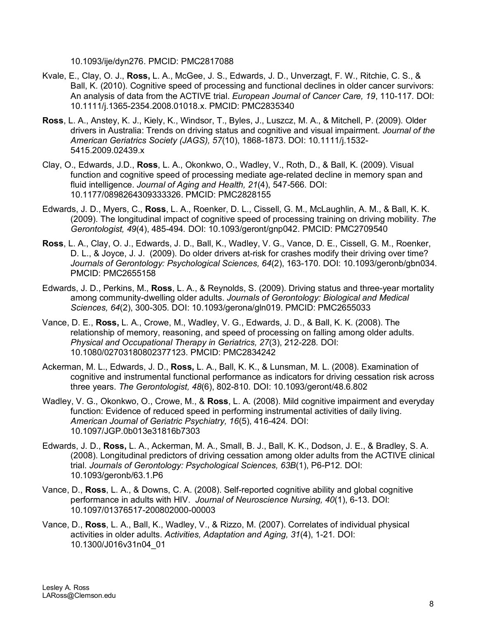10.1093/ije/dyn276. PMCID: PMC2817088

- Kvale, E., Clay, O. J., **Ross,** L. A., McGee, J. S., Edwards, J. D., Unverzagt, F. W., Ritchie, C. S., & Ball, K. (2010). Cognitive speed of processing and functional declines in older cancer survivors: An analysis of data from the ACTIVE trial. *European Journal of Cancer Care, 19*, 110-117*.* DOI: 10.1111/j.1365-2354.2008.01018.x. PMCID: PMC2835340
- **Ross**, L. A., Anstey, K. J., Kiely, K., Windsor, T., Byles, J., Luszcz, M. A., & Mitchell, P. (2009). Older drivers in Australia: Trends on driving status and cognitive and visual impairment. *Journal of the American Geriatrics Society (JAGS), 57*(10), 1868-1873. DOI: 10.1111/j.1532- 5415.2009.02439.x
- Clay, O., Edwards, J.D., **Ross**, L. A., Okonkwo, O., Wadley, V., Roth, D., & Ball, K. (2009). Visual function and cognitive speed of processing mediate age-related decline in memory span and fluid intelligence. *Journal of Aging and Health, 21*(4), 547-566*.* DOI: 10.1177/0898264309333326. PMCID: PMC2828155
- Edwards, J. D., Myers, C., **Ross**, L. A., Roenker, D. L., Cissell, G. M., McLaughlin, A. M., & Ball, K. K. (2009). The longitudinal impact of cognitive speed of processing training on driving mobility. *The Gerontologist, 49*(4), 485-494*.* DOI: 10.1093/geront/gnp042. PMCID: PMC2709540
- **Ross**, L. A., Clay, O. J., Edwards, J. D., Ball, K., Wadley, V. G., Vance, D. E., Cissell, G. M., Roenker, D. L., & Joyce, J. J. (2009). Do older drivers at-risk for crashes modify their driving over time? *Journals of Gerontology: Psychological Sciences, 64*(2), 163-170. DOI: 10.1093/geronb/gbn034. PMCID: PMC2655158
- Edwards, J. D., Perkins, M., **Ross**, L. A., & Reynolds, S. (2009). Driving status and three-year mortality among community-dwelling older adults. *Journals of Gerontology: Biological and Medical Sciences, 64*(2), 300-305*.* DOI: 10.1093/gerona/gln019. PMCID: PMC2655033
- Vance, D. E., **Ross,** L. A., Crowe, M., Wadley, V. G., Edwards, J. D., & Ball, K. K. (2008). The relationship of memory, reasoning, and speed of processing on falling among older adults. *Physical and Occupational Therapy in Geriatrics, 27*(3), 212-228*.* DOI: 10.1080/02703180802377123. PMCID: PMC2834242
- Ackerman, M. L., Edwards, J. D., **Ross,** L. A., Ball, K. K., & Lunsman, M. L. (2008). Examination of cognitive and instrumental functional performance as indicators for driving cessation risk across three years. *The Gerontologist, 48*(6), 802-810*.* DOI: 10.1093/geront/48.6.802
- Wadley, V. G., Okonkwo, O., Crowe, M., & **Ross**, L. A. (2008). Mild cognitive impairment and everyday function: Evidence of reduced speed in performing instrumental activities of daily living. *American Journal of Geriatric Psychiatry, 16*(5), 416-424*.* DOI: 10.1097/JGP.0b013e31816b7303
- Edwards, J. D., **Ross,** L. A., Ackerman, M. A., Small, B. J., Ball, K. K., Dodson, J. E., & Bradley, S. A. (2008). Longitudinal predictors of driving cessation among older adults from the ACTIVE clinical trial. *Journals of Gerontology: Psychological Sciences, 63B*(1), P6-P12. DOI: 10.1093/geronb/63.1.P6
- Vance, D., **Ross**, L. A., & Downs, C. A. (2008). Self-reported cognitive ability and global cognitive performance in adults with HIV. *Journal of Neuroscience Nursing, 40*(1), 6-13. DOI: 10.1097/01376517-200802000-00003
- Vance, D., **Ross**, L. A., Ball, K., Wadley, V., & Rizzo, M. (2007). Correlates of individual physical activities in older adults. *Activities, Adaptation and Aging, 31*(4), 1-21*.* DOI: 10.1300/J016v31n04\_01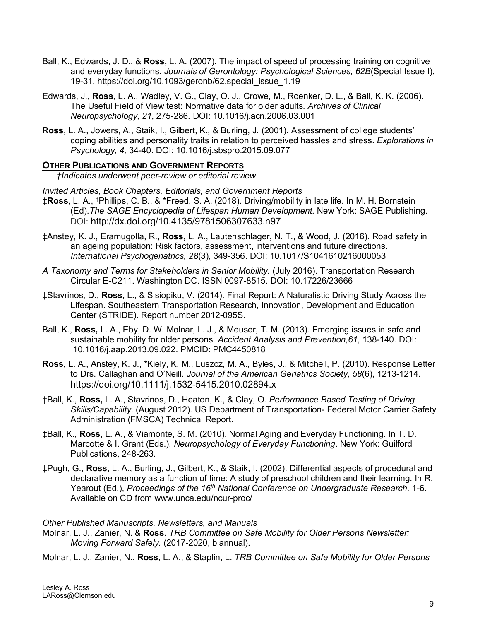- Ball, K., Edwards, J. D., & **Ross,** L. A. (2007). The impact of speed of processing training on cognitive and everyday functions. *Journals of Gerontology: Psychological Sciences, 62B*(Special Issue I), 19-31*.* https://doi.org/10.1093/geronb/62.special\_issue\_1.19
- Edwards, J., **Ross**, L. A., Wadley, V. G., Clay, O. J., Crowe, M., Roenker, D. L., & Ball, K. K. (2006). The Useful Field of View test: Normative data for older adults*. Archives of Clinical Neuropsychology, 21*, 275-286*.* DOI: 10.1016/j.acn.2006.03.001
- **Ross**, L. A., Jowers, A., Staik, I., Gilbert, K., & Burling, J. (2001). Assessment of college students' coping abilities and personality traits in relation to perceived hassles and stress. *Explorations in Psychology, 4,* 34-40. DOI: 10.1016/j.sbspro.2015.09.077

# **OTHER PUBLICATIONS AND GOVERNMENT REPORTS**

*‡Indicates underwent peer-review or editorial review*

### *Invited Articles, Book Chapters, Editorials, and Government Reports*

- ‡**Ross**, L. A., † Phillips, C. B., & \*Freed, S. A. (2018). Driving/mobility in late life. In M. H. Bornstein (Ed).*The SAGE Encyclopedia of Lifespan Human Development.* New York: SAGE Publishing. DOI: http://dx.doi.org/10.4135/9781506307633.n97
- ‡Anstey, K. J., Eramugolla, R., **Ross,** L. A., Lautenschlager, N. T., & Wood, J. (2016). Road safety in an ageing population: Risk factors, assessment, interventions and future directions. *International Psychogeriatrics, 28*(3), 349-356. DOI: 10.1017/S1041610216000053
- *A Taxonomy and Terms for Stakeholders in Senior Mobility.* (July 2016). Transportation Research Circular E-C211. Washington DC. ISSN 0097-8515. DOI: 10.17226/23666
- ‡Stavrinos, D., **Ross,** L., & Sisiopiku, V. (2014). Final Report: A Naturalistic Driving Study Across the Lifespan. Southeastern Transportation Research, Innovation, Development and Education Center (STRIDE). Report number 2012-095S.
- Ball, K., **Ross,** L. A., Eby, D. W. Molnar, L. J., & Meuser, T. M. (2013). Emerging issues in safe and sustainable mobility for older persons. *Accident Analysis and Prevention,61,* 138-140. DOI: 10.1016/j.aap.2013.09.022. PMCID: PMC4450818
- **Ross,** L. A., Anstey, K. J., \*Kiely, K. M., Luszcz, M. A., Byles, J., & Mitchell, P. (2010). Response Letter to Drs. Callaghan and O'Neill. *Journal of the American Geriatrics Society, 58*(6), 1213-1214*.* https://doi.org/10.1111/j.1532-5415.2010.02894.x
- ‡Ball, K., **Ross,** L. A., Stavrinos, D., Heaton, K., & Clay, O. *Performance Based Testing of Driving Skills/Capability.* (August 2012). US Department of Transportation- Federal Motor Carrier Safety Administration (FMSCA) Technical Report.
- ‡Ball, K., **Ross**, L. A., & Viamonte, S. M. (2010). Normal Aging and Everyday Functioning. In T. D. Marcotte & I. Grant (Eds.), *Neuropsychology of Everyday Functioning*. New York: Guilford Publications, 248-263.
- ‡Pugh, G., **Ross**, L. A., Burling, J., Gilbert, K., & Staik, I. (2002). Differential aspects of procedural and declarative memory as a function of time: A study of preschool children and their learning. In R. Yearout (Ed.), *Proceedings of the 16th National Conference on Undergraduate Research,* 1-6. Available on CD from [www.unca.edu/ncur-proc/](http://www.unca.edu/ncur-proc/)

# *Other Published Manuscripts, Newsletters, and Manuals*

- Molnar, L. J., Zanier, N. & **Ross**. *TRB Committee on Safe Mobility for Older Persons Newsletter: Moving Forward Safely.* (2017-2020, biannual).
- Molnar, L. J., Zanier, N., **Ross,** L. A., & Staplin, L. *TRB Committee on Safe Mobility for Older Persons*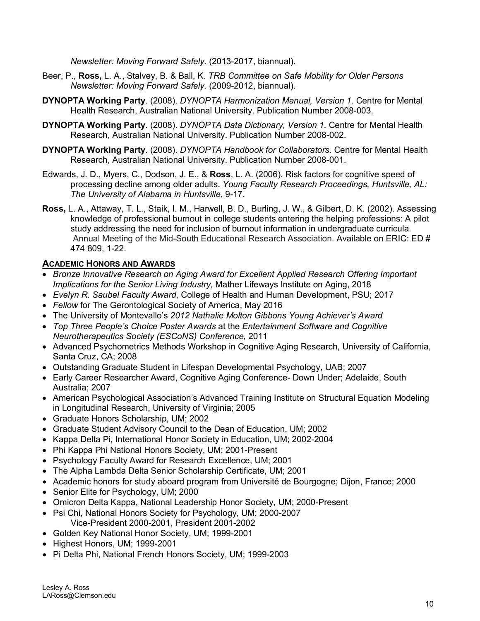*Newsletter: Moving Forward Safely.* (2013-2017, biannual).

- Beer, P., **Ross,** L. A., Stalvey, B. & Ball, K. *TRB Committee on Safe Mobility for Older Persons Newsletter: Moving Forward Safely.* (2009-2012, biannual).
- **DYNOPTA Working Party**. (2008). *DYNOPTA Harmonization Manual, Version 1.* Centre for Mental Health Research, Australian National University. Publication Number 2008-003.
- **DYNOPTA Working Party**. (2008). *DYNOPTA Data Dictionary, Version 1.* Centre for Mental Health Research, Australian National University. Publication Number 2008-002.
- **DYNOPTA Working Party**. (2008). *DYNOPTA Handbook for Collaborators.* Centre for Mental Health Research, Australian National University. Publication Number 2008-001.
- Edwards, J. D., Myers, C., Dodson, J. E., & **Ross**, L. A. (2006). Risk factors for cognitive speed of processing decline among older adults. *Young Faculty Research Proceedings, Huntsville, AL: The University of Alabama in Huntsville*, 9-17.
- **Ross,** L. A., Attaway, T. L., Staik, I. M., Harwell, B. D., Burling, J. W., & Gilbert, D. K. (2002). Assessing knowledge of professional burnout in college students entering the helping professions: A pilot study addressing the need for inclusion of burnout information in undergraduate curricula. Annual Meeting of the Mid-South Educational Research Association. Available on ERIC: ED # 474 809, 1-22.

# **ACADEMIC HONORS AND AWARDS**

- *Bronze Innovative Research on Aging Award for Excellent Applied Research Offering Important Implications for the Senior Living Industry,* Mather Lifeways Institute on Aging, 2018
- *Evelyn R. Saubel Faculty Award*, College of Health and Human Development, PSU; 2017
- *Fellow* for The Gerontological Society of America, May 2016
- The University of Montevallo's *2012 Nathalie Molton Gibbons Young Achiever's Award*
- *Top Three People's Choice Poster Awards* at the *Entertainment Software and Cognitive Neurotherapeutics Society (ESCoNS) Conference,* 2011
- Advanced Psychometrics Methods Workshop in Cognitive Aging Research, University of California, Santa Cruz, CA; 2008
- Outstanding Graduate Student in Lifespan Developmental Psychology, UAB; 2007
- Early Career Researcher Award, Cognitive Aging Conference- Down Under; Adelaide, South Australia; 2007
- American Psychological Association's Advanced Training Institute on Structural Equation Modeling in Longitudinal Research, University of Virginia; 2005
- Graduate Honors Scholarship, UM; 2002
- Graduate Student Advisory Council to the Dean of Education, UM; 2002
- Kappa Delta Pi, International Honor Society in Education, UM; 2002-2004
- Phi Kappa Phi National Honors Society, UM; 2001-Present
- Psychology Faculty Award for Research Excellence, UM; 2001
- The Alpha Lambda Delta Senior Scholarship Certificate, UM; 2001
- Academic honors for study aboard program from Université de Bourgogne; Dijon, France; 2000
- Senior Elite for Psychology, UM; 2000
- Omicron Delta Kappa, National Leadership Honor Society, UM; 2000-Present
- Psi Chi, National Honors Society for Psychology, UM; 2000-2007 Vice-President 2000-2001, President 2001-2002
- Golden Key National Honor Society, UM; 1999-2001
- Highest Honors, UM; 1999-2001
- Pi Delta Phi, National French Honors Society, UM; 1999-2003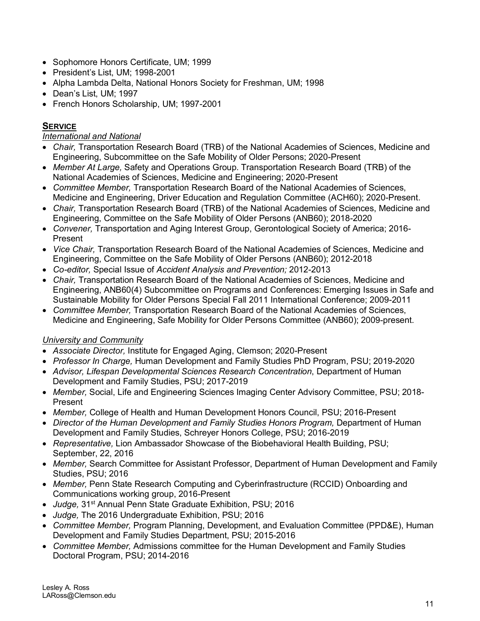- Sophomore Honors Certificate, UM; 1999
- President's List, UM; 1998-2001
- Alpha Lambda Delta, National Honors Society for Freshman, UM; 1998
- Dean's List, UM; 1997
- French Honors Scholarship, UM; 1997-2001

# **SERVICE**

# *International and National*

- *Chair,* Transportation Research Board (TRB) of the National Academies of Sciences, Medicine and Engineering, Subcommittee on the Safe Mobility of Older Persons; 2020-Present
- *Member At Large,* Safety and Operations Group. Transportation Research Board (TRB) of the National Academies of Sciences, Medicine and Engineering; 2020-Present
- *Committee Member,* Transportation Research Board of the National Academies of Sciences, Medicine and Engineering, Driver Education and Regulation Committee (ACH60); 2020-Present.
- *Chair,* Transportation Research Board (TRB) of the National Academies of Sciences, Medicine and Engineering, Committee on the Safe Mobility of Older Persons (ANB60); 2018-2020
- *Convener,* Transportation and Aging Interest Group, Gerontological Society of America; 2016- Present
- *Vice Chair,* Transportation Research Board of the National Academies of Sciences, Medicine and Engineering, Committee on the Safe Mobility of Older Persons (ANB60); 2012-2018
- *Co-editor,* Special Issue of *Accident Analysis and Prevention;* 2012-2013
- *Chair,* Transportation Research Board of the National Academies of Sciences, Medicine and Engineering, ANB60(4) Subcommittee on Programs and Conferences: Emerging Issues in Safe and Sustainable Mobility for Older Persons Special Fall 2011 International Conference; 2009-2011
- *Committee Member,* Transportation Research Board of the National Academies of Sciences, Medicine and Engineering, Safe Mobility for Older Persons Committee (ANB60); 2009-present.

# *University and Community*

- *Associate Director,* Institute for Engaged Aging, Clemson; 2020-Present
- *Professor In Charge,* Human Development and Family Studies PhD Program, PSU; 2019-2020
- *Advisor, Lifespan Developmental Sciences Research Concentration*, Department of Human Development and Family Studies, PSU; 2017-2019
- *Member,* Social, Life and Engineering Sciences Imaging Center Advisory Committee, PSU; 2018- Present
- *Member,* College of Health and Human Development Honors Council, PSU; 2016-Present
- *Director of the Human Development and Family Studies Honors Program, Department of Human* Development and Family Studies, Schreyer Honors College, PSU; 2016-2019
- *Representative,* Lion Ambassador Showcase of the Biobehavioral Health Building, PSU; September, 22, 2016
- *Member,* Search Committee for Assistant Professor, Department of Human Development and Family Studies, PSU; 2016
- *Member,* Penn State Research Computing and Cyberinfrastructure (RCCID) Onboarding and Communications working group, 2016-Present
- *Judge,* 31st Annual Penn State Graduate Exhibition, PSU; 2016
- *Judge,* The 2016 Undergraduate Exhibition, PSU; 2016
- *Committee Member,* Program Planning, Development, and Evaluation Committee (PPD&E), Human Development and Family Studies Department, PSU; 2015-2016
- *Committee Member,* Admissions committee for the Human Development and Family Studies Doctoral Program, PSU; 2014-2016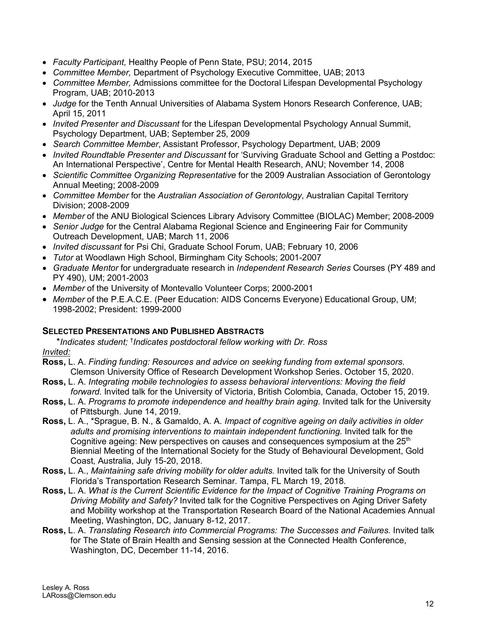- *Faculty Participant,* Healthy People of Penn State, PSU; 2014, 2015
- *Committee Member,* Department of Psychology Executive Committee, UAB; 2013
- *Committee Member,* Admissions committee for the Doctoral Lifespan Developmental Psychology Program, UAB; 2010-2013
- *Judge* for the Tenth Annual Universities of Alabama System Honors Research Conference, UAB; April 15, 2011
- *Invited Presenter and Discussant* for the Lifespan Developmental Psychology Annual Summit, Psychology Department, UAB; September 25, 2009
- *Search Committee Member*, Assistant Professor, Psychology Department, UAB; 2009
- *Invited Roundtable Presenter and Discussant* for 'Surviving Graduate School and Getting a Postdoc: An International Perspective', Centre for Mental Health Research, ANU; November 14, 2008
- *Scientific Committee Organizing Representative* for the 2009 Australian Association of Gerontology Annual Meeting; 2008-2009
- *Committee Member* for the *Australian Association of Gerontology*, Australian Capital Territory Division; 2008-2009
- *Member* of the ANU Biological Sciences Library Advisory Committee (BIOLAC) Member; 2008-2009
- *Senior Judge* for the Central Alabama Regional Science and Engineering Fair for Community Outreach Development, UAB; March 11, 2006
- *Invited discussant* for Psi Chi, Graduate School Forum, UAB; February 10, 2006
- *Tutor* at Woodlawn High School, Birmingham City Schools; 2001-2007
- *Graduate Mentor* for undergraduate research in *Independent Research Series* Courses (PY 489 and PY 490), UM; 2001-2003
- *Member* of the University of Montevallo Volunteer Corps; 2000-2001
- *Member* of the P.E.A.C.E. (Peer Education: AIDS Concerns Everyone) Educational Group, UM; 1998-2002; President: 1999-2000

# **SELECTED PRESENTATIONS AND PUBLISHED ABSTRACTS**

\**Indicates student;* † *Indicates postdoctoral fellow working with Dr. Ross Invited:*

- **Ross,** L. A. *Finding funding: Resources and advice on seeking funding from external sponsors.*  Clemson University Office of Research Development Workshop Series. October 15, 2020.
- **Ross,** L. A. *Integrating mobile technologies to assess behavioral interventions: Moving the field forward.* Invited talk for the University of Victoria, British Colombia, Canada, October 15, 2019.
- **Ross,** L. A. *Programs to promote independence and healthy brain aging.* Invited talk for the University of Pittsburgh. June 14, 2019.
- **Ross,** L. A., \*Sprague, B. N., & Gamaldo, A. A. *Impact of cognitive ageing on daily activities in older*  adults and promising interventions to maintain independent functioning. Invited talk for the Cognitive ageing: New perspectives on causes and consequences symposium at the  $25<sup>th</sup>$ Biennial Meeting of the International Society for the Study of Behavioural Development, Gold Coast, Australia, July 15-20, 2018.
- **Ross,** L. A., *Maintaining safe driving mobility for older adults.* Invited talk for the University of South Florida's Transportation Research Seminar. Tampa, FL March 19, 2018.
- **Ross,** L. A. *What is the Current Scientific Evidence for the Impact of Cognitive Training Programs on Driving Mobility and Safety?* Invited talk for the Cognitive Perspectives on Aging Driver Safety and Mobility workshop at the Transportation Research Board of the National Academies Annual Meeting, Washington, DC, January 8-12, 2017.
- **Ross,** L. A. *Translating Research into Commercial Programs: The Successes and Failures.* Invited talk for The State of Brain Health and Sensing session at the Connected Health Conference, Washington, DC, December 11-14, 2016.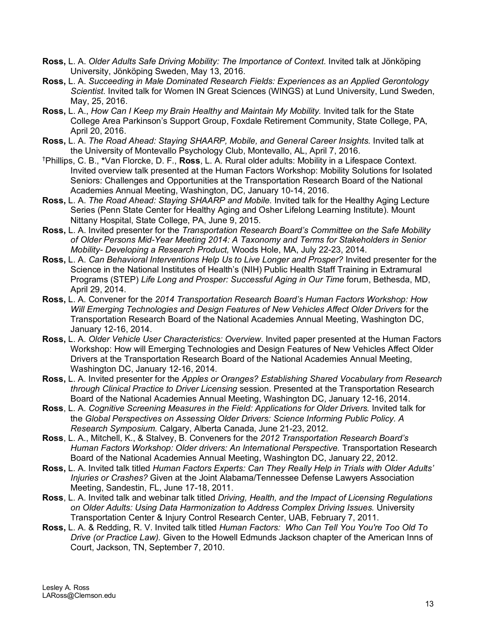- **Ross,** L. A. *Older Adults Safe Driving Mobility: The Importance of Context.* Invited talk at Jönköping University, Jönköping Sweden, May 13, 2016.
- **Ross,** L. A. *Succeeding in Male Dominated Research Fields: Experiences as an Applied Gerontology Scientist.* Invited talk for Women IN Great Sciences (WINGS) at Lund University, Lund Sweden, May, 25, 2016.
- **Ross,** L. A., *How Can I Keep my Brain Healthy and Maintain My Mobility.* Invited talk for the State College Area Parkinson's Support Group, Foxdale Retirement Community, State College, PA, April 20, 2016.
- **Ross,** L. A. *The Road Ahead: Staying SHAARP, Mobile, and General Career Insights.* Invited talk at the University of Montevallo Psychology Club, Montevallo, AL, April 7, 2016.
- † Phillips, C. B., **\***Van Florcke, D. F., **Ross**, L. A. Rural older adults: Mobility in a Lifespace Context. Invited overview talk presented at the Human Factors Workshop: Mobility Solutions for Isolated Seniors: Challenges and Opportunities at the Transportation Research Board of the National Academies Annual Meeting, Washington, DC, January 10-14, 2016.
- **Ross,** L. A. *The Road Ahead: Staying SHAARP and Mobile.* Invited talk for the Healthy Aging Lecture Series (Penn State Center for Healthy Aging and Osher Lifelong Learning Institute). Mount Nittany Hospital, State College, PA, June 9, 2015.
- **Ross,** L. A. Invited presenter for the *Transportation Research Board's Committee on the Safe Mobility of Older Persons Mid-Year Meeting 2014: A Taxonomy and Terms for Stakeholders in Senior Mobility- Developing a Research Product,* Woods Hole, MA, July 22-23, 2014.
- **Ross,** L. A. *Can Behavioral Interventions Help Us to Live Longer and Prosper?* Invited presenter for the Science in the National Institutes of Health's (NIH) Public Health Staff Training in Extramural Programs (STEP) *Life Long and Prosper: Successful Aging in Our Time* forum, Bethesda, MD, April 29, 2014.
- **Ross,** L. A. Convener for the *2014 Transportation Research Board's Human Factors Workshop: How Will Emerging Technologies and Design Features of New Vehicles Affect Older Drivers* for the Transportation Research Board of the National Academies Annual Meeting, Washington DC, January 12-16, 2014.
- **Ross,** L. A. *Older Vehicle User Characteristics: Overview*. Invited paper presented at the Human Factors Workshop: How will Emerging Technologies and Design Features of New Vehicles Affect Older Drivers at the Transportation Research Board of the National Academies Annual Meeting, Washington DC, January 12-16, 2014.
- **Ross,** L. A. Invited presenter for the *Apples or Oranges? Establishing Shared Vocabulary from Research through Clinical Practice to Driver Licensing* session. Presented at the Transportation Research Board of the National Academies Annual Meeting, Washington DC, January 12-16, 2014.
- **Ross**, L. A. *Cognitive Screening Measures in the Field: Applications for Older Drivers.* Invited talk for the *Global Perspectives on Assessing Older Drivers: Science Informing Public Policy. A Research Symposium.* Calgary, Alberta Canada, June 21-23, 2012.
- **Ross**, L. A., Mitchell, K., & Stalvey, B. Conveners for the *2012 Transportation Research Board's*  Human Factors Workshop: Older drivers: An International Perspective. Transportation Research Board of the National Academies Annual Meeting, Washington DC, January 22, 2012.
- **Ross,** L. A. Invited talk titled *Human Factors Experts: Can They Really Help in Trials with Older Adults' Injuries or Crashes?* Given at the Joint Alabama/Tennessee Defense Lawyers Association Meeting, Sandestin, FL, June 17-18, 2011.
- **Ross**, L. A. Invited talk and webinar talk titled *Driving, Health, and the Impact of Licensing Regulations on Older Adults: Using Data Harmonization to Address Complex Driving Issues.* University Transportation Center & Injury Control Research Center, UAB, February 7, 2011.
- **Ross,** L. A. & Redding, R. V. Invited talk titled *Human Factors: Who Can Tell You You're Too Old To Drive (or Practice Law).* Given to the Howell Edmunds Jackson chapter of the American Inns of Court, Jackson, TN, September 7, 2010.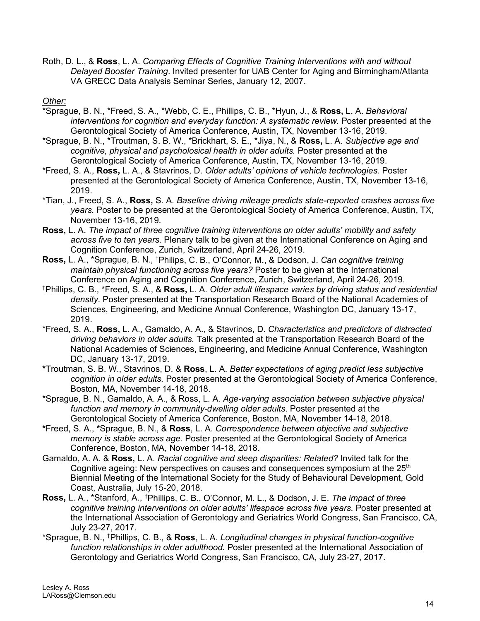Roth, D. L., & **Ross**, L. A. *Comparing Effects of Cognitive Training Interventions with and without Delayed Booster Training*. Invited presenter for UAB Center for Aging and Birmingham/Atlanta VA GRECC Data Analysis Seminar Series, January 12, 2007.

#### *Other:*

- \*Sprague, B. N., \*Freed, S. A., \*Webb, C. E., Phillips, C. B., \*Hyun, J., & **Ross,** L. A. *Behavioral interventions for cognition and everyday function: A systematic review.* Poster presented at the Gerontological Society of America Conference, Austin, TX, November 13-16, 2019.
- \*Sprague, B. N., \*Troutman, S. B. W., \*Brickhart, S. E., \*Jiya, N., & **Ross,** L. A. *Subjective age and cognitive, physical and psycholosical health in older adults.* Poster presented at the Gerontological Society of America Conference, Austin, TX, November 13-16, 2019.
- \*Freed, S. A., **Ross,** L. A., & Stavrinos, D. *Older adults' opinions of vehicle technologies.* Poster presented at the Gerontological Society of America Conference, Austin, TX, November 13-16, 2019.
- \*Tian, J., Freed, S. A., **Ross,** S. A. *Baseline driving mileage predicts state-reported crashes across five years.* Poster to be presented at the Gerontological Society of America Conference, Austin, TX, November 13-16, 2019.
- **Ross,** L. A. *The impact of three cognitive training interventions on older adults' mobility and safety across five to ten years.* Plenary talk to be given at the International Conference on Aging and Cognition Conference, Zurich, Switzerland, April 24-26, 2019.
- **Ross,** L. A., \*Sprague, B. N., † Philips, C. B., O'Connor, M., & Dodson, J. *Can cognitive training maintain physical functioning across five years?* Poster to be given at the International Conference on Aging and Cognition Conference, Zurich, Switzerland, April 24-26, 2019.
- † Phillips, C. B., \*Freed, S. A., & **Ross,** L. A. *Older adult lifespace varies by driving status and residential density.* Poster presented at the Transportation Research Board of the National Academies of Sciences, Engineering, and Medicine Annual Conference, Washington DC, January 13-17, 2019.
- \*Freed, S. A., **Ross,** L. A., Gamaldo, A. A., & Stavrinos, D. *Characteristics and predictors of distracted driving behaviors in older adults.* Talk presented at the Transportation Research Board of the National Academies of Sciences, Engineering, and Medicine Annual Conference, Washington DC, January 13-17, 2019.
- **\***Troutman, S. B. W., Stavrinos, D. & **Ross**, L. A. *Better expectations of aging predict less subjective cognition in older adults.* Poster presented at the Gerontological Society of America Conference, Boston, MA, November 14-18, 2018.
- \*Sprague, B. N., Gamaldo, A. A., & Ross, L. A. *Age-varying association between subjective physical function and memory in community-dwelling older adults*. Poster presented at the Gerontological Society of America Conference, Boston, MA, November 14-18, 2018.
- **\***Freed, S. A., **\***Sprague, B. N., & **Ross**, L. A. *Correspondence between objective and subjective memory is stable across age.* Poster presented at the Gerontological Society of America Conference, Boston, MA, November 14-18, 2018.
- Gamaldo, A. A. & **Ross,** L. A. *Racial cognitive and sleep disparities: Related?* Invited talk for the Cognitive ageing: New perspectives on causes and consequences symposium at the  $25<sup>th</sup>$ Biennial Meeting of the International Society for the Study of Behavioural Development, Gold Coast, Australia, July 15-20, 2018.
- **Ross,** L. A., \*Stanford, A., † Phillips, C. B., O'Connor, M. L., & Dodson, J. E. *The impact of three*  cognitive training interventions on older adults' lifespace across five years. Poster presented at the International Association of Gerontology and Geriatrics World Congress, San Francisco, CA, July 23-27, 2017.
- \*Sprague, B. N., † Phillips, C. B., & **Ross**, L. A. *Longitudinal changes in physical function-cognitive function relationships in older adulthood.* Poster presented at the International Association of Gerontology and Geriatrics World Congress, San Francisco, CA, July 23-27, 2017.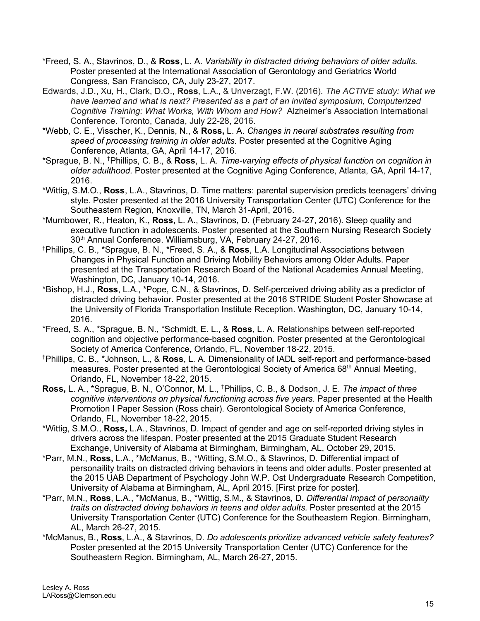- \*Freed, S. A., Stavrinos, D., & **Ross**, L. A. *Variability in distracted driving behaviors of older adults.*  Poster presented at the International Association of Gerontology and Geriatrics World Congress, San Francisco, CA, July 23-27, 2017.
- Edwards, J.D., Xu, H., Clark, D.O., **Ross**, L.A., & Unverzagt, F.W. (2016). *The ACTIVE study: What we have learned and what is next? Presented as a part of an invited symposium, Computerized Cognitive Training: What Works, With Whom and How?* Alzheimer's Association International Conference. Toronto, Canada, July 22-28, 2016.
- \*Webb, C. E., Visscher, K., Dennis, N., & **Ross,** L. A. *Changes in neural substrates resulting from speed of processing training in older adults.* Poster presented at the Cognitive Aging Conference, Atlanta, GA, April 14-17, 2016.
- \*Sprague, B. N., † Phillips, C. B., & **Ross**, L. A. *Time-varying effects of physical function on cognition in older adulthood.* Poster presented at the Cognitive Aging Conference, Atlanta, GA, April 14-17, 2016.
- \*Wittig, S.M.O., **Ross**, L.A., Stavrinos, D. Time matters: parental supervision predicts teenagers' driving style. Poster presented at the 2016 University Transportation Center (UTC) Conference for the Southeastern Region, Knoxville, TN, March 31-April, 2016.
- \*Mumbower, R., Heaton, K., **Ross,** L. A., Stavrinos, D. (February 24-27, 2016). Sleep quality and executive function in adolescents. Poster presented at the Southern Nursing Research Society 30<sup>th</sup> Annual Conference. Williamsburg, VA, February 24-27, 2016.
- † Phillips, C. B., \*Sprague, B. N., \*Freed, S. A., & **Ross**, L.A. Longitudinal Associations between Changes in Physical Function and Driving Mobility Behaviors among Older Adults. Paper presented at the Transportation Research Board of the National Academies Annual Meeting, Washington, DC, January 10-14, 2016.
- \*Bishop, H.J., **Ross**, L.A., \*Pope, C.N., & Stavrinos, D. Self-perceived driving ability as a predictor of distracted driving behavior. Poster presented at the 2016 STRIDE Student Poster Showcase at the University of Florida Transportation Institute Reception. Washington, DC, January 10-14, 2016.
- \*Freed, S. A., \*Sprague, B. N., \*Schmidt, E. L., & **Ross**, L. A. Relationships between self-reported cognition and objective performance-based cognition. Poster presented at the Gerontological Society of America Conference, Orlando, FL, November 18-22, 2015.
- † Phillips, C. B., \*Johnson, L., & **Ross**, L. A. Dimensionality of IADL self-report and performance-based measures. Poster presented at the Gerontological Society of America 68<sup>th</sup> Annual Meeting, Orlando, FL, November 18-22, 2015.
- **Ross,** L. A., \*Sprague, B. N., O'Connor, M. L., † Phillips, C. B., & Dodson, J. E. *The impact of three cognitive interventions on physical functioning across five years.* Paper presented at the Health Promotion I Paper Session (Ross chair). Gerontological Society of America Conference, Orlando, FL, November 18-22, 2015.
- \*Wittig, S.M.O., **Ross,** L.A., Stavrinos, D. Impact of gender and age on self-reported driving styles in drivers across the lifespan. Poster presented at the 2015 Graduate Student Research Exchange, University of Alabama at Birmingham, Birmingham, AL, October 29, 2015.
- \*Parr, M.N., **Ross,** L.A., \*McManus, B., \*Witting, S.M.O., & Stavrinos, D. Differential impact of personaility traits on distracted driving behaviors in teens and older adults. Poster presented at the 2015 UAB Department of Psychology John W.P. Ost Undergraduate Research Competition, University of Alabama at Birmingham, AL, April 2015. [First prize for poster].
- \*Parr, M.N., **Ross**, L.A., \*McManus, B., \*Wittig, S.M., & Stavrinos, D. *Differential impact of personality traits on distracted driving behaviors in teens and older adults.* Poster presented at the 2015 University Transportation Center (UTC) Conference for the Southeastern Region. Birmingham, AL, March 26-27, 2015.
- \*McManus, B., **Ross**, L.A., & Stavrinos, D. *Do adolescents prioritize advanced vehicle safety features?* Poster presented at the 2015 University Transportation Center (UTC) Conference for the Southeastern Region. Birmingham, AL, March 26-27, 2015.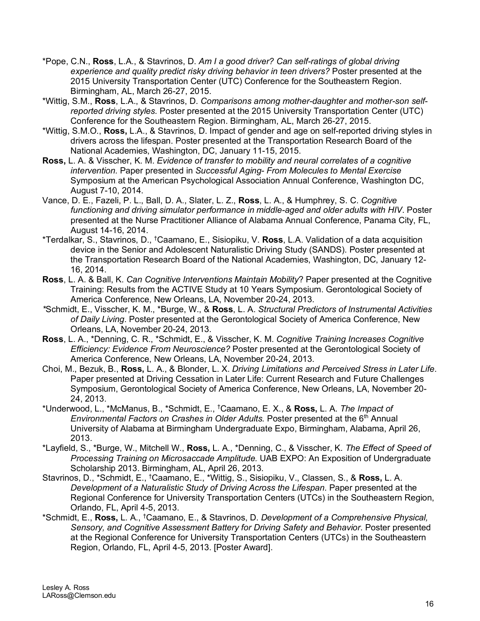- \*Pope, C.N., **Ross**, L.A., & Stavrinos, D. *Am I a good driver? Can self-ratings of global driving experience and quality predict risky driving behavior in teen drivers?* Poster presented at the 2015 University Transportation Center (UTC) Conference for the Southeastern Region. Birmingham, AL, March 26-27, 2015.
- \*Wittig, S.M., **Ross**, L.A., & Stavrinos, D. *Comparisons among mother-daughter and mother-son selfreported driving styles.* Poster presented at the 2015 University Transportation Center (UTC) Conference for the Southeastern Region. Birmingham, AL, March 26-27, 2015.
- \*Wittig, S.M.O., **Ross,** L.A., & Stavrinos, D. Impact of gender and age on self-reported driving styles in drivers across the lifespan. Poster presented at the Transportation Research Board of the National Academies, Washington, DC, January 11-15, 2015.
- **Ross,** L. A. & Visscher, K. M. *Evidence of transfer to mobility and neural correlates of a cognitive intervention.* Paper presented in *Successful Aging- From Molecules to Mental Exercise*  Symposium at the American Psychological Association Annual Conference, Washington DC, August 7-10, 2014.
- Vance, D. E., Fazeli, P. L., Ball, D. A., Slater, L. Z., **Ross**, L. A., & Humphrey, S. C. *Cognitive functioning and driving simulator performance in middle-aged and older adults with HIV*. Poster presented at the Nurse Practitioner Alliance of Alabama Annual Conference, Panama City, FL, August 14-16, 2014.
- \*Terdalkar, S., Stavrinos, D., † Caamano, E., Sisiopiku, V. **Ross**, L.A. Validation of a data acquisition device in the Senior and Adolescent Naturalistic Driving Study (SANDS). Poster presented at the Transportation Research Board of the National Academies, Washington, DC, January 12- 16, 2014.
- **Ross**, L. A. & Ball, K. *Can Cognitive Interventions Maintain Mobility*? Paper presented at the Cognitive Training: Results from the ACTIVE Study at 10 Years Symposium. Gerontological Society of America Conference, New Orleans, LA, November 20-24, 2013.
- *\**Schmidt, E., Visscher, K. M., \*Burge, W., & **Ross**, L. A. *Structural Predictors of Instrumental Activities of Daily Living*. Poster presented at the Gerontological Society of America Conference, New Orleans, LA, November 20-24, 2013.
- **Ross**, L. A., \*Denning, C. R., \*Schmidt, E., & Visscher, K. M. *Cognitive Training Increases Cognitive Efficiency: Evidence From Neuroscience?* Poster presented at the Gerontological Society of America Conference, New Orleans, LA, November 20-24, 2013.
- Choi, M., Bezuk, B., **Ross,** L. A., & Blonder, L. X. *Driving Limitations and Perceived Stress in Later Life*. Paper presented at Driving Cessation in Later Life: Current Research and Future Challenges Symposium, Gerontological Society of America Conference, New Orleans, LA, November 20- 24, 2013.
- \*Underwood, L., \*McManus, B., \*Schmidt, E., † Caamano, E. X., & **Ross,** L. A. *The Impact of Environmental Factors on Crashes in Older Adults.* Poster presented at the 6<sup>th</sup> Annual University of Alabama at Birmingham Undergraduate Expo, Birmingham, Alabama, April 26, 2013.
- \*Layfield, S., \*Burge, W., Mitchell W., **Ross,** L. A., \*Denning, C., & Visscher, K. *The Effect of Speed of Processing Training on Microsaccade Amplitude.* UAB EXPO: An Exposition of Undergraduate Scholarship 2013. Birmingham, AL, April 26, 2013.
- Stavrinos, D., \*Schmidt, E., <sup>†</sup>Caamano, E., \*Wittig, S., Sisiopiku, V., Classen, S., & **Ross,** L. A. *Development of a Naturalistic Study of Driving Across the Lifespan*. Paper presented at the Regional Conference for University Transportation Centers (UTCs) in the Southeastern Region, Orlando, FL, April 4-5, 2013.
- \*Schmidt, E., **Ross,** L. A., † Caamano, E., & Stavrinos, D. *Development of a Comprehensive Physical, Sensory, and Cognitive Assessment Battery for Driving Safety and Behavior*. Poster presented at the Regional Conference for University Transportation Centers (UTCs) in the Southeastern Region, Orlando, FL, April 4-5, 2013. [Poster Award].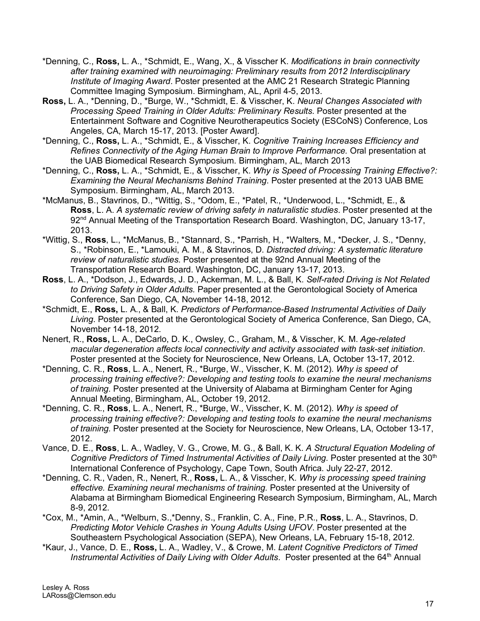- \*Denning, C., **Ross,** L. A., \*Schmidt, E., Wang, X., & Visscher K. *Modifications in brain connectivity after training examined with neuroimaging: Preliminary results from 2012 Interdisciplinary Institute of Imaging Award*. Poster presented at the AMC 21 Research Strategic Planning Committee Imaging Symposium. Birmingham, AL, April 4-5, 2013.
- **Ross,** L. A., \*Denning, D., \*Burge, W., \*Schmidt, E. & Visscher, K. *Neural Changes Associated with Processing Speed Training in Older Adults: Preliminary Results.* Poster presented at the Entertainment Software and Cognitive Neurotherapeutics Society (ESCoNS) Conference, Los Angeles, CA, March 15-17, 2013. [Poster Award].
- \*Denning, C., **Ross,** L. A., \*Schmidt, E., & Visscher, K. *Cognitive Training Increases Efficiency and Refines Connectivity of the Aging Human Brain to Improve Performance.* Oral presentation at the UAB Biomedical Research Symposium. Birmingham, AL, March 2013
- \*Denning, C., **Ross,** L. A., \*Schmidt, E., & Visscher, K. *Why is Speed of Processing Training Effective?: Examining the Neural Mechanisms Behind Training*. Poster presented at the 2013 UAB BME Symposium. Birmingham, AL, March 2013.
- \*McManus, B., Stavrinos, D., \*Wittig, S., \*Odom, E., \*Patel, R., \*Underwood, L., \*Schmidt, E., & **Ross**, L. A. *A systematic review of driving safety in naturalistic studies*. Poster presented at the 92<sup>nd</sup> Annual Meeting of the Transportation Research Board. Washington, DC, January 13-17, 2013.
- \*Wittig, S., **Ross**, L., \*McManus, B., \*Stannard, S., \*Parrish, H., \*Walters, M., \*Decker, J. S., \*Denny, S., \*Robinson, E., \*Lamouki, A. M., & Stavrinos, D. *Distracted driving: A systematic literature review of naturalistic studies.* Poster presented at the 92nd Annual Meeting of the Transportation Research Board. Washington, DC, January 13-17, 2013.
- **Ross**, L. A., \*Dodson, J., Edwards, J. D., Ackerman, M. L., & Ball, K. *Self-rated Driving is Not Related to Driving Safety in Older Adults.* Paper presented at the Gerontological Society of America Conference, San Diego, CA, November 14-18, 2012.
- \*Schmidt, E., **Ross,** L. A., & Ball, K. *Predictors of Performance-Based Instrumental Activities of Daily Living*. Poster presented at the Gerontological Society of America Conference, San Diego, CA, November 14-18, 2012.
- Nenert, R., **Ross,** L. A., DeCarlo, D. K., Owsley, C., Graham, M., & Visscher, K. M. *Age-related macular degeneration affects local connectivity and activity associated with task-set initiation*. Poster presented at the Society for Neuroscience, New Orleans, LA, October 13-17, 2012.
- \*Denning, C. R., **Ross**, L. A., Nenert, R., \*Burge, W., Visscher, K. M. (2012). *Why is speed of processing training effective?: Developing and testing tools to examine the neural mechanisms of training.* Poster presented at the University of Alabama at Birmingham Center for Aging Annual Meeting, Birmingham, AL, October 19, 2012.
- \*Denning, C. R., **Ross**, L. A., Nenert, R., \*Burge, W., Visscher, K. M. (2012). *Why is speed of processing training effective?: Developing and testing tools to examine the neural mechanisms of training.* Poster presented at the Society for Neuroscience, New Orleans, LA, October 13-17, 2012.
- Vance, D. E., **Ross**, L. A., Wadley, V. G., Crowe, M. G., & Ball, K. K. *A Structural Equation Modeling of Cognitive Predictors of Timed Instrumental Activities of Daily Living.* Poster presented at the 30<sup>th</sup> International Conference of Psychology, Cape Town, South Africa. July 22-27, 2012.
- \*Denning, C. R., Vaden, R., Nenert, R., **Ross,** L. A., & Visscher, K*. Why is processing speed training effective. Examining neural mechanisms of training.* Poster presented at the University of Alabama at Birmingham Biomedical Engineering Research Symposium, Birmingham, AL, March 8-9, 2012.
- \*Cox, M., \*Amin, A., \*Welburn, S.,\*Denny, S., Franklin, C. A., Fine, P.R., **Ross**, L. A., Stavrinos, D. *Predicting Motor Vehicle Crashes in Young Adults Using UFOV*. Poster presented at the Southeastern Psychological Association (SEPA), New Orleans, LA, February 15-18, 2012.
- \*Kaur, J., Vance, D. E., **Ross,** L. A., Wadley, V., & Crowe, M. *Latent Cognitive Predictors of Timed*  Instrumental Activities of Daily Living with Older Adults. Poster presented at the 64<sup>th</sup> Annual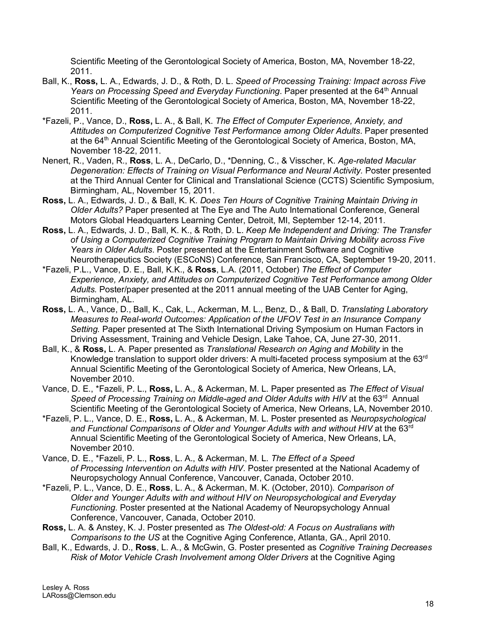Scientific Meeting of the Gerontological Society of America, Boston, MA, November 18-22, 2011.

- Ball, K., **Ross,** L. A., Edwards, J. D., & Roth, D. L. *Speed of Processing Training: Impact across Five Years on Processing Speed and Everyday Functioning*. Paper presented at the 64th Annual Scientific Meeting of the Gerontological Society of America, Boston, MA, November 18-22, 2011.
- \*Fazeli, P., Vance, D., **Ross,** L. A., & Ball, K. *The Effect of Computer Experience, Anxiety, and Attitudes on Computerized Cognitive Test Performance among Older Adults*. Paper presented at the 64<sup>th</sup> Annual Scientific Meeting of the Gerontological Society of America, Boston, MA, November 18-22, 2011.
- Nenert, R., Vaden, R., **Ross**, L. A., DeCarlo, D., \*Denning, C., & Visscher, K. *Age-related Macular*  Degeneration: Effects of Training on Visual Performance and Neural Activity. Poster presented at the Third Annual Center for Clinical and Translational Science (CCTS) Scientific Symposium, Birmingham, AL, November 15, 2011.
- **Ross,** L. A., Edwards, J. D., & Ball, K. K. *Does Ten Hours of Cognitive Training Maintain Driving in Older Adults?* Paper presented at The Eye and The Auto International Conference, General Motors Global Headquarters Learning Center, Detroit, MI, September 12-14, 2011.
- **Ross,** L. A., Edwards, J. D., Ball, K. K., & Roth, D. L. *Keep Me Independent and Driving: The Transfer of Using a Computerized Cognitive Training Program to Maintain Driving Mobility across Five Years in Older Adults*. Poster presented at the Entertainment Software and Cognitive Neurotherapeutics Society (ESCoNS) Conference, San Francisco, CA, September 19-20, 2011.
- \*Fazeli, P.L., Vance, D. E., Ball, K.K., & **Ross**, L.A. (2011, October) *The Effect of Computer Experience, Anxiety, and Attitudes on Computerized Cognitive Test Performance among Older Adults.* Poster/paper presented at the 2011 annual meeting of the UAB Center for Aging, Birmingham, AL.
- **Ross,** L. A., Vance, D., Ball, K., Cak, L., Ackerman, M. L., Benz, D., & Ball, D. *Translating Laboratory Measures to Real-world Outcomes: Application of the UFOV Test in an Insurance Company Setting.* Paper presented at The Sixth International Driving Symposium on Human Factors in Driving Assessment, Training and Vehicle Design, Lake Tahoe, CA, June 27-30, 2011.
- Ball, K., & **Ross,** L. A. Paper presented as *Translational Research on Aging and Mobility* in the Knowledge translation to support older drivers: A multi-faceted process symposium at the 63<sup>rd</sup> Annual Scientific Meeting of the Gerontological Society of America, New Orleans, LA, November 2010.
- Vance, D. E., \*Fazeli, P. L., **Ross,** L. A., & Ackerman, M. L. Paper presented as *The Effect of Visual*  Speed of *Processing Training on Middle-aged and Older Adults with HIV* at the 63<sup>rd</sup> Annual Scientific Meeting of the Gerontological Society of America, New Orleans, LA, November 2010.
- \*Fazeli, P. L., Vance, D. E., **Ross,** L. A., & Ackerman, M. L. Poster presented as *Neuropsychological and Functional Comparisons of Older and Younger Adults with and without HIV* at the 63rd Annual Scientific Meeting of the Gerontological Society of America, New Orleans, LA, November 2010.
- Vance, D. E., \*Fazeli, P. L., **Ross**, L. A., & Ackerman, M. L. *The Effect of a Speed of Processing Intervention on Adults with HIV.* Poster presented at the National Academy of Neuropsychology Annual Conference, Vancouver, Canada, October 2010.
- \*Fazeli, P. L., Vance, D. E., **Ross**, L. A., & Ackerman, M. K. (October, 2010). *Comparison of Older and Younger Adults with and without HIV on Neuropsychological and Everyday Functioning.* Poster presented at the National Academy of Neuropsychology Annual Conference, Vancouver, Canada, October 2010.
- **Ross,** L. A. & Anstey, K. J. Poster presented as *The Oldest-old: A Focus on Australians with Comparisons to the US* at the Cognitive Aging Conference, Atlanta, GA., April 2010.
- Ball, K., Edwards, J. D., **Ross**, L. A., & McGwin, G. Poster presented as *Cognitive Training Decreases Risk of Motor Vehicle Crash Involvement among Older Drivers* at the Cognitive Aging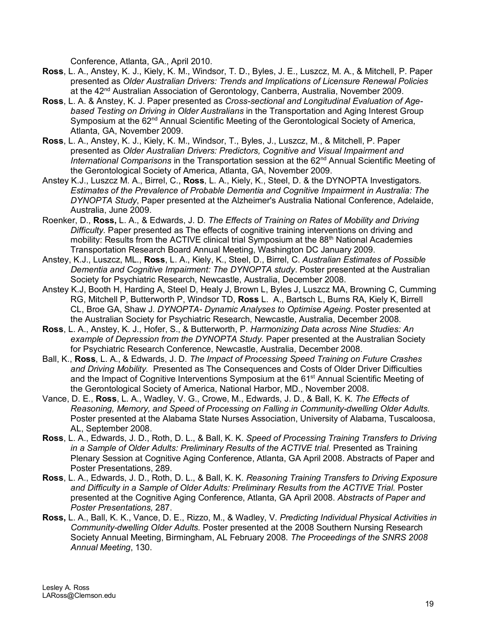Conference, Atlanta, GA., April 2010.

- **Ross**, L. A., Anstey, K. J., Kiely, K. M., Windsor, T. D., Byles, J. E., Luszcz, M. A., & Mitchell, P. Paper presented as *Older Australian Drivers: Trends and Implications of Licensure Renewal Policies* at the 42<sup>nd</sup> Australian Association of Gerontology, Canberra, Australia, November 2009.
- **Ross**, L. A. & Anstey, K. J. Paper presented as *Cross-sectional and Longitudinal Evaluation of Agebased Testing on Driving in Older Australians* in the Transportation and Aging Interest Group Symposium at the 62<sup>nd</sup> Annual Scientific Meeting of the Gerontological Society of America, Atlanta, GA, November 2009.
- **Ross**, L. A., Anstey, K. J., Kiely, K. M., Windsor, T., Byles, J., Luszcz, M., & Mitchell, P. Paper presented as *Older Australian Drivers: Predictors, Cognitive and Visual Impairment and International Comparisons* in the Transportation session at the 62<sup>nd</sup> Annual Scientific Meeting of the Gerontological Society of America, Atlanta, GA, November 2009.
- Anstey K.J., Luszcz M. A., Birrel, C., **Ross**, L. A., Kiely, K., Steel, D. & the DYNOPTA Investigators. *Estimates of the Prevalence of Probable Dementia and Cognitive Impairment in Australia: The DYNOPTA Study*, Paper presented at the Alzheimer's Australia National Conference, Adelaide, Australia, June 2009.
- Roenker, D., **Ross,** L. A., & Edwards, J. D. *The Effects of Training on Rates of Mobility and Driving Difficulty.* Paper presented as The effects of cognitive training interventions on driving and mobility: Results from the ACTIVE clinical trial Symposium at the 88<sup>th</sup> National Academies Transportation Research Board Annual Meeting, Washington DC January 2009.
- Anstey, K.J., Luszcz, ML., **Ross**, L. A., Kiely, K., Steel, D., Birrel, C. *Australian Estimates of Possible Dementia and Cognitive Impairment: The DYNOPTA study*. Poster presented at the Australian Society for Psychiatric Research, Newcastle, Australia, December 2008.
- Anstey K.J, Booth H, Harding A, Steel D, Healy J, Brown L, Byles J, Luszcz MA, Browning C, Cumming RG, Mitchell P, Butterworth P, Windsor TD, **Ross** L. A., Bartsch L, Burns RA, Kiely K, Birrell CL, Broe GA, Shaw J. *DYNOPTA- Dynamic Analyses to Optimise Ageing*. Poster presented at the Australian Society for Psychiatric Research, Newcastle, Australia, December 2008.
- **Ross**, L. A., Anstey, K. J., Hofer, S., & Butterworth, P. *Harmonizing Data across Nine Studies: An example of Depression from the DYNOPTA Study.* Paper presented at the Australian Society for Psychiatric Research Conference, Newcastle, Australia, December 2008.
- Ball, K., **Ross**, L. A., & Edwards, J. D. *The Impact of Processing Speed Training on Future Crashes and Driving Mobility.* Presented as The Consequences and Costs of Older Driver Difficulties and the Impact of Cognitive Interventions Symposium at the 61<sup>st</sup> Annual Scientific Meeting of the Gerontological Society of America, National Harbor, MD., November 2008.
- Vance, D. E., **Ross**, L. A., Wadley, V. G., Crowe, M., Edwards, J. D., & Ball, K. K. *The Effects of Reasoning, Memory, and Speed of Processing on Falling in Community-dwelling Older Adults.* Poster presented at the Alabama State Nurses Association, University of Alabama, Tuscaloosa, AL, September 2008.
- **Ross**, L. A., Edwards, J. D., Roth, D. L., & Ball, K. K. *Speed of Processing Training Transfers to Driving in a Sample of Older Adults: Preliminary Results of the ACTIVE trial.* Presented as Training Plenary Session at Cognitive Aging Conference, Atlanta, GA April 2008. Abstracts of Paper and Poster Presentations, 289.
- **Ross**, L. A., Edwards, J. D., Roth, D. L., & Ball, K. K. *Reasoning Training Transfers to Driving Exposure*  and Difficulty in a Sample of Older Adults: Preliminary Results from the ACTIVE Trial. Poster presented at the Cognitive Aging Conference, Atlanta, GA April 2008. *Abstracts of Paper and Poster Presentations,* 287.
- **Ross,** L. A., Ball, K. K., Vance, D. E., Rizzo, M., & Wadley, V. *Predicting Individual Physical Activities in Community-dwelling Older Adults.* Poster presented at the 2008 Southern Nursing Research Society Annual Meeting, Birmingham, AL February 2008. *The Proceedings of the SNRS 2008 Annual Meeting*, 130.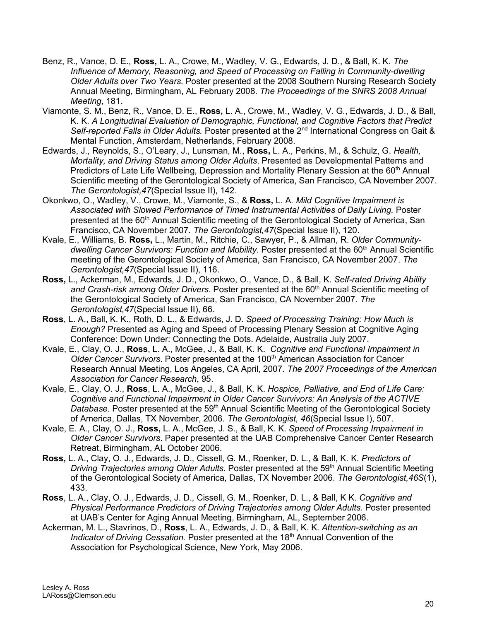- Benz, R., Vance, D. E., **Ross,** L. A., Crowe, M., Wadley, V. G., Edwards, J. D., & Ball, K. K. *The Influence of Memory, Reasoning, and Speed of Processing on Falling in Community-dwelling Older Adults over Two Years.* Poster presented at the 2008 Southern Nursing Research Society Annual Meeting, Birmingham, AL February 2008. *The Proceedings of the SNRS 2008 Annual Meeting*, 181.
- Viamonte, S. M., Benz, R., Vance, D. E., **Ross,** L. A., Crowe, M., Wadley, V. G., Edwards, J. D., & Ball, K. K. *A Longitudinal Evaluation of Demographic, Functional, and Cognitive Factors that Predict Self-reported Falls in Older Adults.* Poster presented at the 2nd International Congress on Gait & Mental Function, Amsterdam, Netherlands, February 2008.
- Edwards, J., Reynolds, S., O'Leary, J., Lunsman, M., **Ross,** L. A., Perkins, M., & Schulz, G. *Health, Mortality, and Driving Status among Older Adults*. Presented as Developmental Patterns and Predictors of Late Life Wellbeing, Depression and Mortality Plenary Session at the 60<sup>th</sup> Annual Scientific meeting of the Gerontological Society of America, San Francisco, CA November 2007. *The Gerontologist,47*(Special Issue II), 142.
- Okonkwo, O., Wadley, V., Crowe, M., Viamonte, S., & **Ross,** L. A. *Mild Cognitive Impairment is Associated with Slowed Performance of Timed Instrumental Activities of Daily Living.* Poster presented at the 60<sup>th</sup> Annual Scientific meeting of the Gerontological Society of America, San Francisco, CA November 2007. *The Gerontologist,47*(Special Issue II), 120.
- Kvale, E., Williams, B. **Ross,** L., Martin, M., Ritchie, C., Sawyer, P., & Allman, R. *Older Communitydwelling Cancer Survivors: Function and Mobility.* Poster presented at the 60<sup>th</sup> Annual Scientific meeting of the Gerontological Society of America, San Francisco, CA November 2007. *The Gerontologist,47*(Special Issue II), 116.
- **Ross,** L., Ackerman, M., Edwards, J. D., Okonkwo, O., Vance, D., & Ball, K. *Self-rated Driving Ability*  and Crash-risk among Older Drivers. Poster presented at the 60<sup>th</sup> Annual Scientific meeting of the Gerontological Society of America, San Francisco, CA November 2007. *The Gerontologist,47*(Special Issue II), 66.
- **Ross**, L. A., Ball, K. K., Roth, D. L., & Edwards, J. D. *Speed of Processing Training: How Much is Enough?* Presented as Aging and Speed of Processing Plenary Session at Cognitive Aging Conference: Down Under: Connecting the Dots. Adelaide, Australia July 2007.
- Kvale, E., Clay, O. J., **Ross**, L. A., McGee, J., & Ball, K. K. *Cognitive and Functional Impairment in Older Cancer Survivors. Poster presented at the 100<sup>th</sup> American Association for Cancer* Research Annual Meeting, Los Angeles, CA April, 2007. *The 2007 Proceedings of the American Association for Cancer Research*, 95.
- Kvale, E., Clay, O. J., **Ross**, L. A., McGee, J., & Ball, K. K. *Hospice, Palliative, and End of Life Care: Cognitive and Functional Impairment in Older Cancer Survivors: An Analysis of the ACTIVE*  Database. Poster presented at the 59<sup>th</sup> Annual Scientific Meeting of the Gerontological Society of America, Dallas, TX November, 2006. *The Gerontologist, 46*(Special Issue I), 507.
- Kvale, E. A., Clay, O. J., **Ross,** L. A., McGee, J. S., & Ball, K. K. *Speed of Processing Impairment in Older Cancer Survivors*. Paper presented at the UAB Comprehensive Cancer Center Research Retreat, Birmingham, AL October 2006.
- **Ross,** L. A., Clay, O. J., Edwards, J. D., Cissell, G. M., Roenker, D. L., & Ball, K. K. *Predictors of Driving Trajectories among Older Adults.* Poster presented at the 59th Annual Scientific Meeting of the Gerontological Society of America, Dallas, TX November 2006. *The Gerontologist,46S*(1), 433.
- **Ross**, L. A., Clay, O. J., Edwards, J. D., Cissell, G. M., Roenker, D. L., & Ball, K K. *Cognitive and Physical Performance Predictors of Driving Trajectories among Older Adults.* Poster presented at UAB's Center for Aging Annual Meeting, Birmingham, AL, September 2006.
- Ackerman, M. L., Stavrinos, D., **Ross**, L. A., Edwards, J. D., & Ball, K. K. *Attention-switching as an Indicator of Driving Cessation.* Poster presented at the 18<sup>th</sup> Annual Convention of the Association for Psychological Science, New York, May 2006.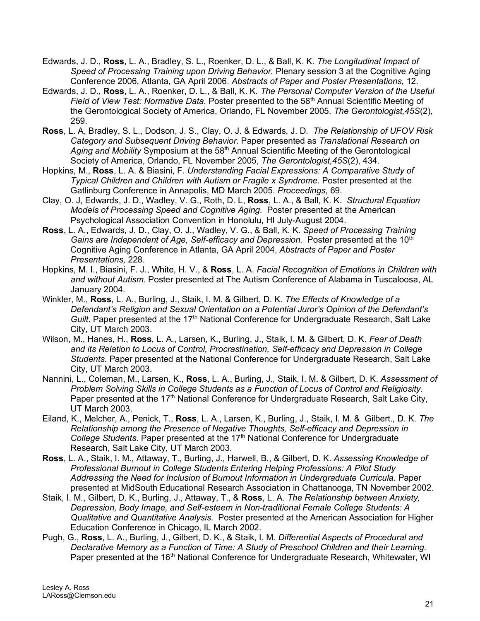- Edwards, J. D., **Ross**, L. A., Bradley, S. L., Roenker, D. L., & Ball, K. K. *The Longitudinal Impact of Speed of Processing Training upon Driving Behavior.* Plenary session 3 at the Cognitive Aging Conference 2006, Atlanta, GA April 2006. *Abstracts of Paper and Poster Presentations,* 12.
- Edwards, J. D., **Ross**, L. A., Roenker, D. L., & Ball, K. K. *The Personal Computer Version of the Useful Field of View Test: Normative Data.* Poster presented to the 58th Annual Scientific Meeting of the Gerontological Society of America, Orlando, FL November 2005. *The Gerontologist,45S*(2), 259.
- **Ross**, L. A, Bradley, S. L., Dodson, J. S., Clay, O. J. & Edwards, J. D. *The Relationship of UFOV Risk Category and Subsequent Driving Behavior.* Paper presented as *Translational Research on*  Aging and Mobility Symposium at the 58<sup>th</sup> Annual Scientific Meeting of the Gerontological Society of America, Orlando, FL November 2005, *The Gerontologist,45S*(2), 434.
- Hopkins, M., **Ross**, L. A. & Biasini, F. *Understanding Facial Expressions: A Comparative Study of Typical Children and Children with Autism or Fragile x Syndrome.* Poster presented at the Gatlinburg Conference in Annapolis, MD March 2005. *Proceedings*, 69.
- Clay, O. J, Edwards, J. D., Wadley, V. G., Roth, D. L, **Ross**, L. A., & Ball, K. K. *Structural Equation Models of Processing Speed and Cognitive Aging.* Poster presented at the American Psychological Association Convention in Honolulu, HI July-August 2004.
- **Ross**, L. A., Edwards, J. D., Clay, O. J., Wadley, V. G., & Ball, K. K. *Speed of Processing Training Gains are Independent of Age, Self-efficacy and Depression.* Poster presented at the 10<sup>th</sup> Cognitive Aging Conference in Atlanta, GA April 2004, *Abstracts of Paper and Poster Presentations,* 228.
- Hopkins, M. I., Biasini, F. J., White, H. V., & **Ross**, L. A. *Facial Recognition of Emotions in Children with and without Autism.* Poster presented at The Autism Conference of Alabama in Tuscaloosa, AL January 2004.
- Winkler, M., **Ross**, L. A., Burling, J., Staik, I. M. & Gilbert, D. K. *The Effects of Knowledge of a Defendant's Religion and Sexual Orientation on a Potential Juror's Opinion of the Defendant's Guilt.* Paper presented at the 17<sup>th</sup> National Conference for Undergraduate Research, Salt Lake City, UT March 2003.
- Wilson, M., Hanes, H., **Ross**, L. A., Larsen, K., Burling, J., Staik, I. M. & Gilbert, D. K. *Fear of Death and its Relation to Locus of Control, Procrastination, Self-efficacy and Depression in College Students.* Paper presented at the National Conference for Undergraduate Research, Salt Lake City, UT March 2003.
- Nannini, L., Coleman, M., Larsen, K., **Ross**, L. A., Burling, J., Staik, I. M. & Gilbert, D. K. *Assessment of Problem Solving Skills in College Students as a Function of Locus of Control and Religiosity.* Paper presented at the 17<sup>th</sup> National Conference for Undergraduate Research, Salt Lake City, UT March 2003.
- Eiland, K., Melcher, A., Penick, T., **Ross**, L. A., Larsen, K., Burling, J., Staik, I. M. & Gilbert., D. K. *The Relationship among the Presence of Negative Thoughts, Self-efficacy and Depression in*  College Students. Paper presented at the 17<sup>th</sup> National Conference for Undergraduate Research, Salt Lake City, UT March 2003.
- **Ross**, L. A., Staik, I. M., Attaway, T., Burling, J., Harwell, B., & Gilbert, D. K. *Assessing Knowledge of Professional Burnout in College Students Entering Helping Professions: A Pilot Study Addressing the Need for Inclusion of Burnout Information in Undergraduate Curricula*. Paper presented at MidSouth Educational Research Association in Chattanooga, TN November 2002.
- Staik, I. M., Gilbert, D. K., Burling, J., Attaway, T., & **Ross**, L. A. *The Relationship between Anxiety, Depression, Body Image, and Self-esteem in Non-traditional Female College Students: A Qualitative and Quantitative Analysis.* Poster presented at the American Association for Higher Education Conference in Chicago, IL March 2002.
- Pugh, G., **Ross**, L. A., Burling, J., Gilbert, D. K., & Staik, I. M. *Differential Aspects of Procedural and Declarative Memory as a Function of Time: A Study of Preschool Children and their Learning.* Paper presented at the 16<sup>th</sup> National Conference for Undergraduate Research, Whitewater, WI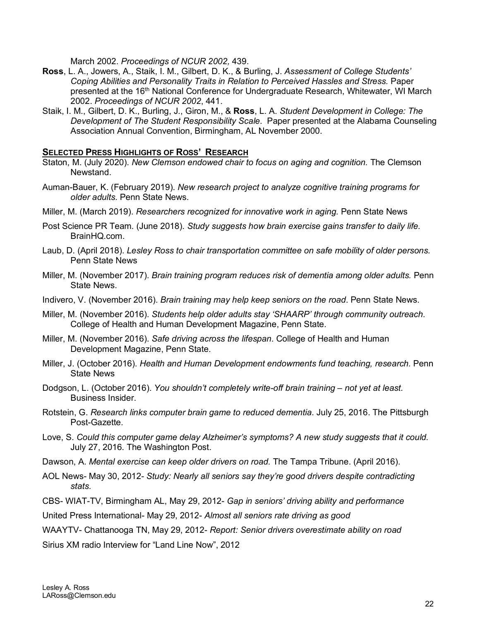March 2002. *Proceedings of NCUR 2002,* 439.

- **Ross**, L. A., Jowers, A., Staik, I. M., Gilbert, D. K., & Burling, J. *Assessment of College Students' Coping Abilities and Personality Traits in Relation to Perceived Hassles and Stress.* Paper presented at the 16<sup>th</sup> National Conference for Undergraduate Research, Whitewater, WI March 2002. *Proceedings of NCUR 2002*, 441.
- Staik, I. M., Gilbert, D. K., Burling, J., Giron, M., & **Ross**, L. A. *Student Development in College: The Development of The Student Responsibility Scale*. Paper presented at the Alabama Counseling Association Annual Convention, Birmingham, AL November 2000.

### **SELECTED PRESS HIGHLIGHTS OF ROSS' RESEARCH**

- Staton, M. (July 2020). *New Clemson endowed chair to focus on aging and cognition.* The Clemson Newstand.
- Auman-Bauer, K. (February 2019). *New research project to analyze cognitive training programs for older adults.* Penn State News.
- Miller, M. (March 2019). *Researchers recognized for innovative work in aging.* Penn State News
- Post Science PR Team. (June 2018). *Study suggests how brain exercise gains transfer to daily life.*  BrainHQ.com.
- Laub, D. (April 2018). *Lesley Ross to chair transportation committee on safe mobility of older persons.*  Penn State News
- Miller, M. (November 2017). *Brain training program reduces risk of dementia among older adults.* Penn State News.
- Indivero, V. (November 2016). *Brain training may help keep seniors on the road*. Penn State News.
- Miller, M. (November 2016). *Students help older adults stay 'SHAARP' through community outreach*. College of Health and Human Development Magazine, Penn State.
- Miller, M. (November 2016). *Safe driving across the lifespan*. College of Health and Human Development Magazine, Penn State.
- Miller, J. (October 2016). *Health and Human Development endowments fund teaching, research.* Penn State News
- Dodgson, L. (October 2016). *You shouldn't completely write-off brain training – not yet at least.*  Business Insider.
- Rotstein, G. *Research links computer brain game to reduced dementia.* July 25, 2016. The Pittsburgh Post-Gazette.
- Love, S. *Could this computer game delay Alzheimer's symptoms? A new study suggests that it could.*  July 27, 2016. The Washington Post.
- Dawson, A. *Mental exercise can keep older drivers on road.* The Tampa Tribune. (April 2016).
- AOL News- May 30, 2012- *Study: Nearly all seniors say they're good drivers despite contradicting stats.*
- CBS- WIAT-TV, Birmingham AL, May 29, 2012- *Gap in seniors' driving ability and performance*

United Press International- May 29, 2012- *Almost all seniors rate driving as good*

WAAYTV- Chattanooga TN, May 29, 2012- *Report: Senior drivers overestimate ability on road*

Sirius XM radio Interview for "Land Line Now", 2012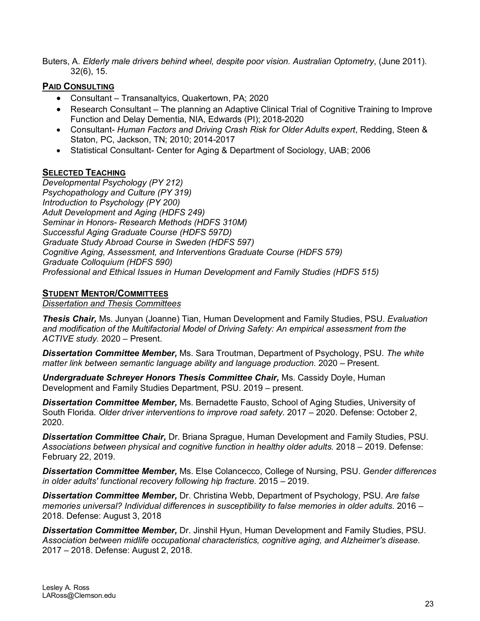Buters, A. *Elderly male drivers behind wheel, despite poor vision. Australian Optometry*, (June 2011). 32(6), 15.

# **PAID CONSULTING**

- Consultant Transanaltyics, Quakertown, PA; 2020
- Research Consultant The planning an Adaptive Clinical Trial of Cognitive Training to Improve Function and Delay Dementia, NIA, Edwards (PI); 2018-2020
- Consultant- *Human Factors and Driving Crash Risk for Older Adults expert*, Redding, Steen & Staton, PC, Jackson, TN; 2010; 2014-2017
- Statistical Consultant- Center for Aging & Department of Sociology, UAB; 2006

# **SELECTED TEACHING**

*Developmental Psychology (PY 212) Psychopathology and Culture (PY 319) Introduction to Psychology (PY 200) Adult Development and Aging (HDFS 249) Seminar in Honors- Research Methods (HDFS 310M) Successful Aging Graduate Course (HDFS 597D) Graduate Study Abroad Course in Sweden (HDFS 597) Cognitive Aging, Assessment, and Interventions Graduate Course (HDFS 579) Graduate Colloquium (HDFS 590) Professional and Ethical Issues in Human Development and Family Studies (HDFS 515)*

# **STUDENT MENTOR/COMMITTEES**

*Dissertation and Thesis Committees*

*Thesis Chair,* Ms. Junyan (Joanne) Tian, Human Development and Family Studies, PSU. *Evaluation and modification of the Multifactorial Model of Driving Safety: An empirical assessment from the ACTIVE study.* 2020 – Present.

*Dissertation Committee Member,* Ms. Sara Troutman, Department of Psychology, PSU. *The white matter link between semantic language ability and language production.* 2020 – Present.

**Undergraduate Schreyer Honors Thesis Committee Chair, Ms. Cassidy Doyle, Human** Development and Family Studies Department, PSU. 2019 – present.

*Dissertation Committee Member,* Ms. Bernadette Fausto, School of Aging Studies, University of South Florida. *Older driver interventions to improve road safety.* 2017 – 2020. Defense: October 2, 2020.

*Dissertation Committee Chair,* Dr. Briana Sprague, Human Development and Family Studies, PSU. *Associations between physical and cognitive function in healthy older adults.* 2018 – 2019. Defense: February 22, 2019.

*Dissertation Committee Member,* Ms. Else Colancecco, College of Nursing, PSU. *Gender differences in older adults' functional recovery following hip fracture.* 2015 – 2019.

*Dissertation Committee Member,* Dr. Christina Webb, Department of Psychology, PSU. *Are false memories universal? Individual differences in susceptibility to false memories in older adults.* 2016 – 2018. Defense: August 3, 2018

*Dissertation Committee Member,* Dr. Jinshil Hyun, Human Development and Family Studies, PSU. *Association between midlife occupational characteristics, cognitive aging, and Alzheimer's disease.* 2017 – 2018. Defense: August 2, 2018.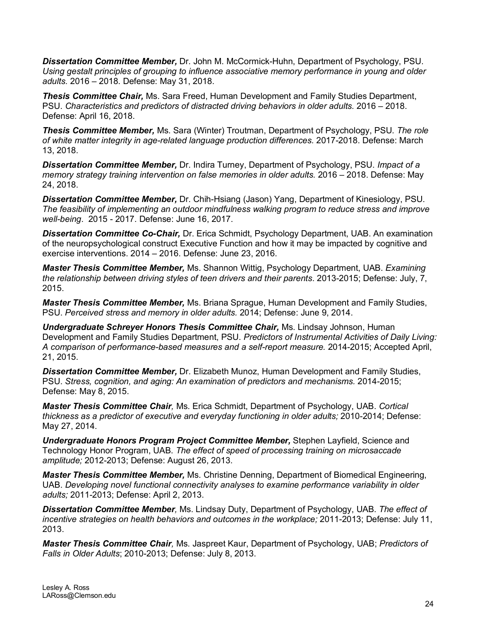*Dissertation Committee Member,* Dr. John M. McCormick-Huhn, Department of Psychology, PSU. *Using gestalt principles of grouping to influence associative memory performance in young and older adults.* 2016 – 2018. Defense: May 31, 2018.

*Thesis Committee Chair,* Ms. Sara Freed, Human Development and Family Studies Department, PSU. *Characteristics and predictors of distracted driving behaviors in older adults.* 2016 – 2018. Defense: April 16, 2018.

*Thesis Committee Member,* Ms. Sara (Winter) Troutman, Department of Psychology, PSU. *The role of white matter integrity in age-related language production differences.* 2017-2018. Defense: March 13, 2018.

*Dissertation Committee Member,* Dr. Indira Turney, Department of Psychology, PSU. *Impact of a memory strategy training intervention on false memories in older adults.* 2016 – 2018. Defense: May 24, 2018.

*Dissertation Committee Member,* Dr. Chih-Hsiang (Jason) Yang, Department of Kinesiology, PSU. *The feasibility of implementing an outdoor mindfulness walking program to reduce stress and improve well-being*. 2015 - 2017. Defense: June 16, 2017.

*Dissertation Committee Co-Chair,* Dr. Erica Schmidt, Psychology Department, UAB. An examination of the neuropsychological construct Executive Function and how it may be impacted by cognitive and exercise interventions. 2014 – 2016. Defense: June 23, 2016.

*Master Thesis Committee Member,* Ms. Shannon Wittig, Psychology Department, UAB. *Examining the relationship between driving styles of teen drivers and their parents*. 2013-2015; Defense: July, 7, 2015.

*Master Thesis Committee Member,* Ms. Briana Sprague, Human Development and Family Studies, PSU. *Perceived stress and memory in older adults.* 2014; Defense: June 9, 2014.

*Undergraduate Schreyer Honors Thesis Committee Chair,* Ms. Lindsay Johnson, Human Development and Family Studies Department, PSU. *Predictors of Instrumental Activities of Daily Living: A comparison of performance-based measures and a self-report measure.* 2014-2015; Accepted April, 21, 2015.

*Dissertation Committee Member,* Dr. Elizabeth Munoz, Human Development and Family Studies, PSU. *Stress, cognition, and aging: An examination of predictors and mechanisms.* 2014-2015; Defense: May 8, 2015.

*Master Thesis Committee Chair,* Ms. Erica Schmidt, Department of Psychology, UAB. *Cortical thickness as a predictor of executive and everyday functioning in older adults;* 2010-2014; Defense: May 27, 2014.

*Undergraduate Honors Program Project Committee Member,* Stephen Layfield, Science and Technology Honor Program, UAB. *The effect of speed of processing training on microsaccade amplitude;* 2012-2013; Defense: August 26, 2013.

*Master Thesis Committee Member,* Ms. Christine Denning, Department of Biomedical Engineering, UAB. *Developing novel functional connectivity analyses to examine performance variability in older adults;* 2011-2013; Defense: April 2, 2013.

*Dissertation Committee Member,* Ms. Lindsay Duty, Department of Psychology, UAB. *The effect of incentive strategies on health behaviors and outcomes in the workplace;* 2011-2013; Defense: July 11, 2013.

*Master Thesis Committee Chair,* Ms. Jaspreet Kaur, Department of Psychology, UAB; *Predictors of Falls in Older Adults*; 2010-2013; Defense: July 8, 2013.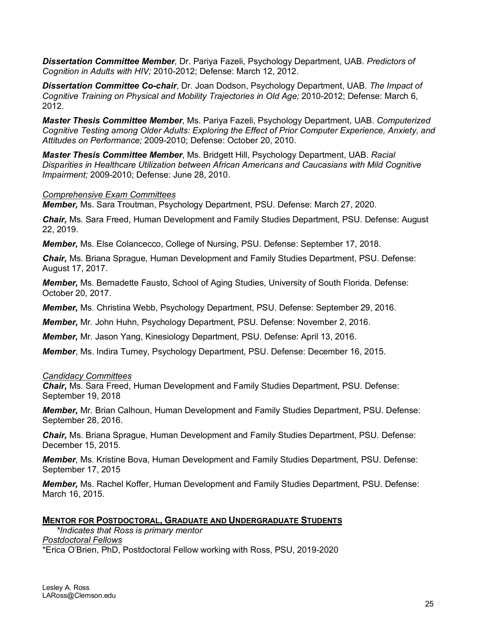*Dissertation Committee Member,* Dr. Pariya Fazeli, Psychology Department, UAB. *Predictors of Cognition in Adults with HIV;* 2010-2012; Defense: March 12, 2012.

*Dissertation Committee Co-chair*, Dr. Joan Dodson, Psychology Department, UAB. *The Impact of Cognitive Training on Physical and Mobility Trajectories in Old Age;* 2010-2012; Defense: March 6, 2012.

*Master Thesis Committee Member*, Ms. Pariya Fazeli, Psychology Department, UAB. *Computerized Cognitive Testing among Older Adults: Exploring the Effect of Prior Computer Experience, Anxiety, and Attitudes on Performance;* 2009-2010; Defense: October 20, 2010.

*Master Thesis Committee Member*, Ms. Bridgett Hill, Psychology Department, UAB. *Racial Disparities in Healthcare Utilization between African Americans and Caucasians with Mild Cognitive Impairment;* 2009-2010; Defense: June 28, 2010.

### *Comprehensive Exam Committees*

*Member,* Ms. Sara Troutman, Psychology Department, PSU. Defense: March 27, 2020.

*Chair,* Ms. Sara Freed, Human Development and Family Studies Department, PSU. Defense: August 22, 2019.

*Member,* Ms. Else Colancecco, College of Nursing, PSU. Defense: September 17, 2018.

*Chair,* Ms. Briana Sprague, Human Development and Family Studies Department, PSU. Defense: August 17, 2017.

*Member,* Ms. Bernadette Fausto, School of Aging Studies, University of South Florida. Defense: October 20, 2017.

*Member,* Ms. Christina Webb, Psychology Department, PSU. Defense: September 29, 2016.

*Member,* Mr. John Huhn, Psychology Department, PSU. Defense: November 2, 2016.

*Member,* Mr. Jason Yang, Kinesiology Department, PSU. Defense: April 13, 2016.

*Member*, Ms. Indira Turney, Psychology Department, PSU. Defense: December 16, 2015.

#### *Candidacy Committees*

*Chair,* Ms. Sara Freed, Human Development and Family Studies Department, PSU. Defense: September 19, 2018

*Member,* Mr. Brian Calhoun, Human Development and Family Studies Department, PSU. Defense: September 28, 2016.

*Chair,* Ms. Briana Sprague, Human Development and Family Studies Department, PSU. Defense: December 15, 2015.

*Member*, Ms. Kristine Bova, Human Development and Family Studies Department, PSU. Defense: September 17, 2015

*Member,* Ms. Rachel Koffer, Human Development and Family Studies Department, PSU. Defense: March 16, 2015.

### **MENTOR FOR POSTDOCTORAL, GRADUATE AND UNDERGRADUATE STUDENTS**

*\*Indicates that Ross is primary mentor Postdoctoral Fellows* \*Erica O'Brien, PhD, Postdoctoral Fellow working with Ross, PSU, 2019-2020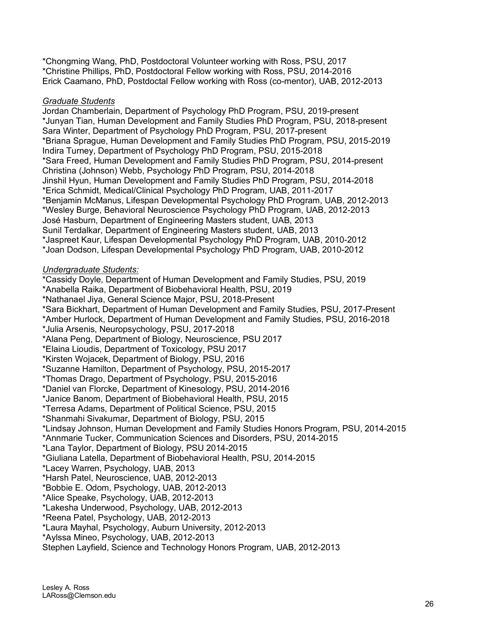\*Chongming Wang, PhD, Postdoctoral Volunteer working with Ross, PSU, 2017 \*Christine Phillips, PhD, Postdoctoral Fellow working with Ross, PSU, 2014-2016 Erick Caamano, PhD, Postdoctal Fellow working with Ross (co-mentor), UAB, 2012-2013

# *Graduate Students*

Jordan Chamberlain, Department of Psychology PhD Program, PSU, 2019-present \*Junyan Tian, Human Development and Family Studies PhD Program, PSU, 2018-present Sara Winter, Department of Psychology PhD Program, PSU, 2017-present \*Briana Sprague, Human Development and Family Studies PhD Program, PSU, 2015-2019 Indira Turney, Department of Psychology PhD Program, PSU, 2015-2018 \*Sara Freed, Human Development and Family Studies PhD Program, PSU, 2014-present Christina (Johnson) Webb, Psychology PhD Program, PSU, 2014-2018 Jinshil Hyun, Human Development and Family Studies PhD Program, PSU, 2014-2018 \*Erica Schmidt, Medical/Clinical Psychology PhD Program, UAB, 2011-2017 \*Benjamin McManus, Lifespan Developmental Psychology PhD Program, UAB, 2012-2013 \*Wesley Burge, Behavioral Neuroscience Psychology PhD Program, UAB, 2012-2013 José Hasburn, Department of Engineering Masters student, UAB, 2013 Sunil Terdalkar, Department of Engineering Masters student, UAB, 2013 \*Jaspreet Kaur, Lifespan Developmental Psychology PhD Program, UAB, 2010-2012 \*Joan Dodson, Lifespan Developmental Psychology PhD Program, UAB, 2010-2012

# *Undergraduate Students:*

\*Cassidy Doyle, Department of Human Development and Family Studies, PSU, 2019 \*Anabella Raika, Department of Biobehavioral Health, PSU, 2019 \*Nathanael Jiya, General Science Major, PSU, 2018-Present \*Sara Bickhart, Department of Human Development and Family Studies, PSU, 2017-Present \*Amber Hurlock, Department of Human Development and Family Studies, PSU, 2016-2018 \*Julia Arsenis, Neuropsychology, PSU, 2017-2018 \*Alana Peng, Department of Biology, Neuroscience, PSU 2017 \*Elaina Lioudis, Department of Toxicology, PSU 2017 \*Kirsten Wojacek, Department of Biology, PSU, 2016 \*Suzanne Hamilton, Department of Psychology, PSU, 2015-2017 \*Thomas Drago, Department of Psychology, PSU, 2015-2016 \*Daniel van Florcke, Department of Kinesology, PSU, 2014-2016 \*Janice Banom, Department of Biobehavioral Health, PSU, 2015 \*Terresa Adams, Department of Political Science, PSU, 2015 \*Shanmahi Sivakumar, Department of Biology, PSU, 2015 \*Lindsay Johnson, Human Development and Family Studies Honors Program, PSU, 2014-2015 \*Annmarie Tucker, Communication Sciences and Disorders, PSU, 2014-2015 \*Lana Taylor, Department of Biology, PSU 2014-2015 \*Giuliana Latella, Department of Biobehavioral Health, PSU, 2014-2015 \*Lacey Warren, Psychology, UAB, 2013 \*Harsh Patel, Neuroscience, UAB, 2012-2013 \*Bobbie E. Odom, Psychology, UAB, 2012-2013 \*Alice Speake, Psychology, UAB, 2012-2013 \*Lakesha Underwood, Psychology, UAB, 2012-2013 \*Reena Patel, Psychology, UAB, 2012-2013 \*Laura Mayhal, Psychology, Auburn University, 2012-2013 \*Aylssa Mineo, Psychology, UAB, 2012-2013

Stephen Layfield, Science and Technology Honors Program, UAB, 2012-2013